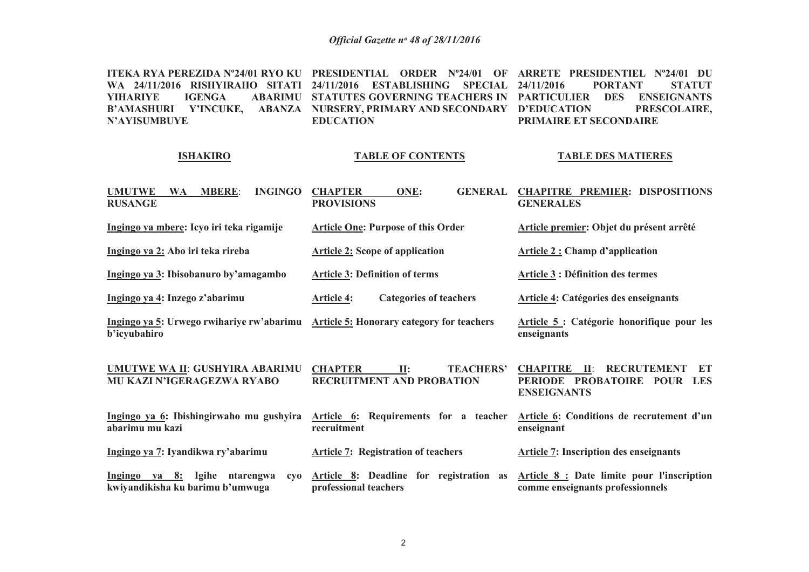**ITEKA RYA PEREZIDA Nº24/01 RYO KU PRESIDENTIAL ORDER Nº24/01 OF ARRETE PRESIDENTIEL Nº24/01 DU WA 24/11/2016 RISHYIRAHO SITATI 24/11/2016 ESTABLISHING SPECIAL 24/11/2016 PORTANT STATUT YIHARIYE IGENGA ABARIMU STATUTES GOVERNING TEACHERS IN PARTICULIER DES ENSEIGNANTS B'AMASHURI Y'INCUKE, ABANZA NURSERY, PRIMARY AND SECONDARYN'AYISUMBUYE EDUCATIONSTATUT D'EDUCATION PRESCOLAIRE, PRIMAIRE ET SECONDAIRE**

#### **ISHAKIRO**

#### **TABLE OF CONTENTS**

#### **TABLE DES MATIERES**

| <b>UMUTWE</b><br><b>WA</b><br><b>MBERE:</b><br><b>INGINGO</b><br><b>RUSANGE</b>                     | <b>CHAPTER</b><br>ONE:<br><b>GENERAL</b><br><b>PROVISIONS</b>                 | <b>CHAPITRE PREMIER: DISPOSITIONS</b><br><b>GENERALES</b>                                            |
|-----------------------------------------------------------------------------------------------------|-------------------------------------------------------------------------------|------------------------------------------------------------------------------------------------------|
| Ingingo ya mbere: Icyo iri teka rigamije                                                            | <b>Article One: Purpose of this Order</b>                                     | Article premier: Objet du présent arrêté                                                             |
| Ingingo ya 2: Abo iri teka rireba                                                                   | <b>Article 2: Scope of application</b>                                        | <b>Article 2: Champ d'application</b>                                                                |
| Ingingo ya 3: Ibisobanuro by'amagambo                                                               | <b>Article 3: Definition of terms</b>                                         | <b>Article 3 : Définition des termes</b>                                                             |
| Ingingo ya 4: Inzego z'abarimu                                                                      | <b>Categories of teachers</b><br><b>Article 4:</b>                            | <b>Article 4: Catégories des enseignants</b>                                                         |
| Ingingo ya 5: Urwego rwihariye rw'abarimu Article 5: Honorary category for teachers<br>b'icyubahiro |                                                                               | Article 5 : Catégorie honorifique pour les<br>enseignants                                            |
| UMUTWE WA II: GUSHYIRA ABARIMU<br><b>MU KAZI N'IGERAGEZWA RYABO</b>                                 | <b>CHAPTER</b><br><b>TEACHERS'</b><br>II:<br><b>RECRUITMENT AND PROBATION</b> | <b>RECRUTEMENT</b><br><b>CHAPITRE</b> II:<br>ET<br>PERIODE PROBATOIRE POUR LES<br><b>ENSEIGNANTS</b> |
| Ingingo ya 6: Ibishingirwaho mu gushyira<br>abarimu mu kazi                                         | Article 6: Requirements for a teacher<br>recruitment                          | Article 6: Conditions de recrutement d'un<br>enseignant                                              |
| Ingingo ya 7: Iyandikwa ry'abarimu                                                                  | <b>Article 7: Registration of teachers</b>                                    | <b>Article 7: Inscription des enseignants</b>                                                        |
| Ingingo ya 8: Igihe<br>ntarengwa<br>CVO<br>kwiyandikisha ku barimu b'umwuga                         | Article 8: Deadline for registration as<br>professional teachers              | Article 8 : Date limite pour l'inscription<br>comme enseignants professionnels                       |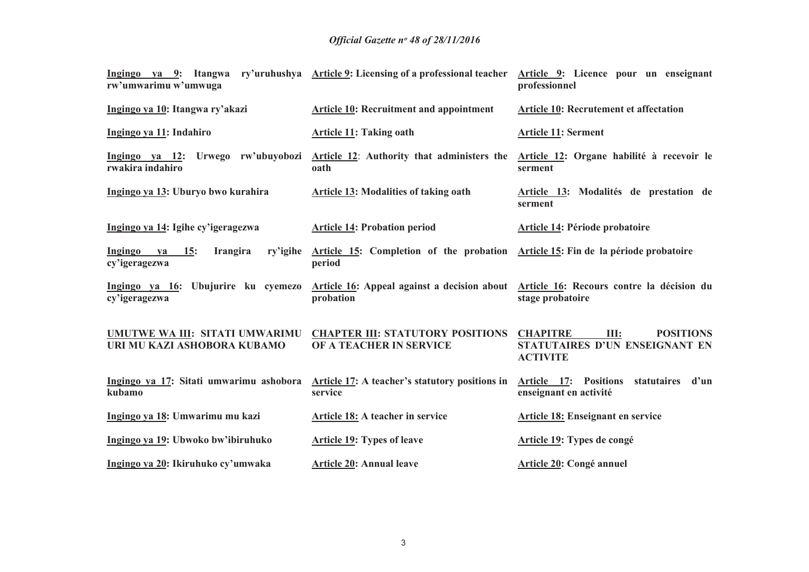| Ingingo ya 9: Itangwa<br>rw'umwarimu w'umwuga                        | ry'uruhushya Article 9: Licensing of a professional teacher                                                                            | Article 9: Licence pour un enseignant<br>professionnel                                           |  |  |
|----------------------------------------------------------------------|----------------------------------------------------------------------------------------------------------------------------------------|--------------------------------------------------------------------------------------------------|--|--|
| Ingingo ya 10: Itangwa ry'akazi                                      | <b>Article 10: Recruitment and appointment</b>                                                                                         | Article 10: Recrutement et affectation                                                           |  |  |
| Ingingo ya 11: Indahiro                                              | <b>Article 11: Taking oath</b>                                                                                                         | <b>Article 11: Serment</b>                                                                       |  |  |
| Ingingo ya 12: Urwego rw'ubuyobozi<br>rwakira indahiro               | Article 12: Authority that administers the<br>oath                                                                                     | Article 12: Organe habilité à recevoir le<br>serment                                             |  |  |
| Ingingo ya 13: Uburyo bwo kurahira                                   | <b>Article 13: Modalities of taking oath</b>                                                                                           | Article 13: Modalités de prestation de<br>serment                                                |  |  |
| Ingingo ya 14: Igihe cy'igeragezwa                                   | <b>Article 14: Probation period</b>                                                                                                    | <b>Article 14: Période probatoire</b>                                                            |  |  |
| Ingingo<br>15:<br>Irangira<br>ry'igihe<br><b>va</b><br>cy'igeragezwa | Article 15: Completion of the probation<br>period                                                                                      | Article 15: Fin de la période probatoire                                                         |  |  |
| cy'igeragezwa                                                        | Ingingo ya 16: Ubujurire ku cyemezo Article 16: Appeal against a decision about Article 16: Recours contre la décision du<br>probation | stage probatoire                                                                                 |  |  |
| UMUTWE WA III: SITATI UMWARIMU<br>URI MU KAZI ASHOBORA KUBAMO        | <b>CHAPTER III: STATUTORY POSITIONS</b><br>OF A TEACHER IN SERVICE                                                                     | <b>CHAPITRE</b><br>III:<br><b>POSITIONS</b><br>STATUTAIRES D'UN ENSEIGNANT EN<br><b>ACTIVITE</b> |  |  |
| Ingingo ya 17: Sitati umwarimu ashobora<br>kubamo                    | Article 17: A teacher's statutory positions in<br>service                                                                              | Article 17:<br><b>Positions</b><br>statutaires d'un<br>enseignant en activité                    |  |  |
| Ingingo ya 18: Umwarimu mu kazi                                      | Article 18: A teacher in service                                                                                                       | Article 18: Enseignant en service                                                                |  |  |
| Ingingo ya 19: Ubwoko bw'ibiruhuko                                   | <b>Article 19: Types of leave</b>                                                                                                      | Article 19: Types de congé                                                                       |  |  |
| Ingingo ya 20: Ikiruhuko cy'umwaka                                   | <b>Article 20: Annual leave</b><br>Article 20: Congé annuel                                                                            |                                                                                                  |  |  |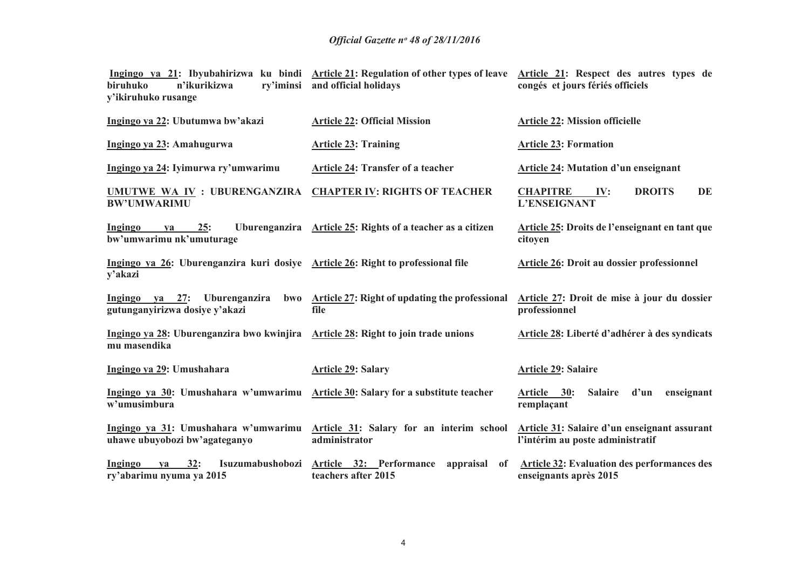| biruhuko<br>n'ikurikizwa<br>ry'iminsi<br>y'ikiruhuko rusange                                     | Ingingo ya 21: Ibyubahirizwa ku bindi Article 21: Regulation of other types of leave Article 21: Respect des autres types de<br>and official holidays | congés et jours fériés officiels                                                 |  |  |  |
|--------------------------------------------------------------------------------------------------|-------------------------------------------------------------------------------------------------------------------------------------------------------|----------------------------------------------------------------------------------|--|--|--|
| Ingingo ya 22: Ubutumwa bw'akazi                                                                 | <b>Article 22: Official Mission</b>                                                                                                                   | <b>Article 22: Mission officielle</b>                                            |  |  |  |
| Ingingo ya 23: Amahugurwa                                                                        | <b>Article 23: Training</b>                                                                                                                           | <b>Article 23: Formation</b>                                                     |  |  |  |
| Ingingo ya 24: Iyimurwa ry'umwarimu                                                              | <b>Article 24: Transfer of a teacher</b>                                                                                                              | <b>Article 24: Mutation d'un enseignant</b>                                      |  |  |  |
| UMUTWE WA IV : UBURENGANZIRA<br><b>BW'UMWARIMU</b>                                               | <b>CHAPTER IV: RIGHTS OF TEACHER</b>                                                                                                                  | <b>CHAPITRE</b><br><b>DROITS</b><br>DE<br>IV:<br>L'ENSEIGNANT                    |  |  |  |
| <b>Ingingo</b><br>25:<br>ya<br>bw'umwarimu nk'umuturage                                          | Uburenganzira Article 25: Rights of a teacher as a citizen                                                                                            | Article 25: Droits de l'enseignant en tant que<br>citoyen                        |  |  |  |
| Ingingo ya 26: Uburenganzira kuri dosiye Article 26: Right to professional file<br>y'akazi       |                                                                                                                                                       | Article 26: Droit au dossier professionnel                                       |  |  |  |
| Ingingo ya 27: Uburenganzira<br>gutunganyirizwa dosiye y'akazi                                   | bwo Article 27: Right of updating the professional<br>file                                                                                            | Article 27: Droit de mise à jour du dossier<br>professionnel                     |  |  |  |
| Ingingo ya 28: Uburenganzira bwo kwinjira Article 28: Right to join trade unions<br>mu masendika |                                                                                                                                                       | Article 28: Liberté d'adhérer à des syndicats                                    |  |  |  |
| Ingingo ya 29: Umushahara                                                                        | <b>Article 29: Salary</b>                                                                                                                             | <b>Article 29: Salaire</b>                                                       |  |  |  |
| Ingingo ya 30: Umushahara w'umwarimu Article 30: Salary for a substitute teacher<br>w'umusimbura |                                                                                                                                                       | Article 30:<br><b>Salaire</b><br>d'un<br>enseignant<br>remplaçant                |  |  |  |
| uhawe ubuyobozi bw'agateganyo                                                                    | Ingingo ya 31: Umushahara w'umwarimu Article 31: Salary for an interim school<br>administrator                                                        | Article 31: Salaire d'un enseignant assurant<br>l'intérim au poste administratif |  |  |  |
| 32:<br>Isuzumabushobozi<br>Ingingo<br>va<br>ry'abarimu nyuma ya 2015                             | Article 32: Performance<br>appraisal<br><sub>of</sub><br>teachers after 2015                                                                          | <b>Article 32: Evaluation des performances des</b><br>enseignants après 2015     |  |  |  |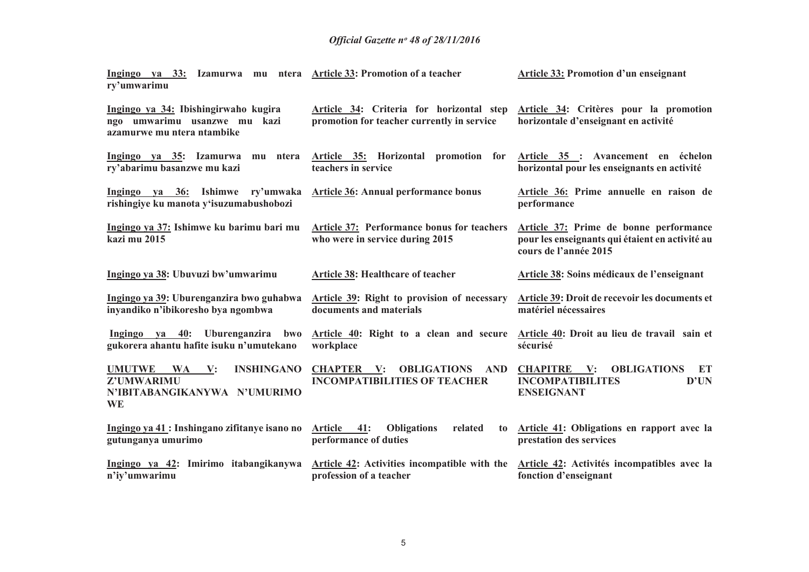| Ingingo ya 33: Izamurwa mu ntera Article 33: Promotion of a teacher<br>ry'umwarimu                     |                                                                                                                                                 | Article 33: Promotion d'un enseignant                                                                                       |  |  |  |
|--------------------------------------------------------------------------------------------------------|-------------------------------------------------------------------------------------------------------------------------------------------------|-----------------------------------------------------------------------------------------------------------------------------|--|--|--|
| Ingingo ya 34: Ibishingirwaho kugira<br>ngo umwarimu usanzwe mu kazi<br>azamurwe mu ntera ntambike     | Article 34: Criteria for horizontal step<br>promotion for teacher currently in service                                                          | Article 34: Critères pour la promotion<br>horizontale d'enseignant en activité                                              |  |  |  |
| Ingingo ya 35: Izamurwa mu ntera<br>ry'abarimu basanzwe mu kazi                                        | Article 35: Horizontal promotion for<br>teachers in service                                                                                     | Article 35 : Avancement en échelon<br>horizontal pour les enseignants en activité                                           |  |  |  |
| Ingingo ya 36: Ishimwe ry'umwaka<br>rishingiye ku manota y'isuzumabushobozi                            | <b>Article 36: Annual performance bonus</b>                                                                                                     | Article 36: Prime annuelle en raison de<br>performance                                                                      |  |  |  |
| Ingingo ya 37: Ishimwe ku barimu bari mu<br>kazi mu 2015                                               | Article 37: Performance bonus for teachers<br>who were in service during 2015                                                                   | Article 37: Prime de bonne performance<br>pour les enseignants qui étaient en activité au<br>cours de l'année 2015          |  |  |  |
| Ingingo ya 38: Ubuvuzi bw'umwarimu                                                                     | <b>Article 38: Healthcare of teacher</b>                                                                                                        | Article 38: Soins médicaux de l'enseignant                                                                                  |  |  |  |
| Ingingo ya 39: Uburenganzira bwo guhabwa<br>inyandiko n'ibikoresho bya ngombwa                         | Article 39: Right to provision of necessary<br>documents and materials                                                                          | Article 39: Droit de recevoir les documents et<br>matériel nécessaires                                                      |  |  |  |
| Ingingo ya $40$ :<br>Uburenganzira<br>bwo<br>gukorera ahantu hafite isuku n'umutekano                  | Article 40: Right to a clean and secure<br>workplace                                                                                            | Article 40: Droit au lieu de travail sain et<br>sécurisé                                                                    |  |  |  |
| <b>INSHINGANO</b><br><b>UMUTWE</b><br>WA V:<br>Z'UMWARIMU<br>N'IBITABANGIKANYWA N'UMURIMO<br><b>WE</b> | <b>OBLIGATIONS</b><br><b>AND</b><br><b>CHAPTER V:</b><br><b>INCOMPATIBILITIES OF TEACHER</b>                                                    | <b>CHAPITRE</b><br>$\mathbf{V:}$<br><b>OBLIGATIONS</b><br><b>ET</b><br><b>INCOMPATIBILITES</b><br>D'UN<br><b>ENSEIGNANT</b> |  |  |  |
| Ingingo ya 41 : Inshingano zifitanye isano no<br>gutunganya umurimo                                    | Article 41:<br>related<br><b>Obligations</b><br>to<br>performance of duties                                                                     | Article 41: Obligations en rapport avec la<br>prestation des services                                                       |  |  |  |
| Ingingo ya 42: Imirimo itabangikanywa<br>n'iy'umwarimu                                                 | Article 42: Activities incompatible with the<br>Article 42: Activités incompatibles avec la<br>profession of a teacher<br>fonction d'enseignant |                                                                                                                             |  |  |  |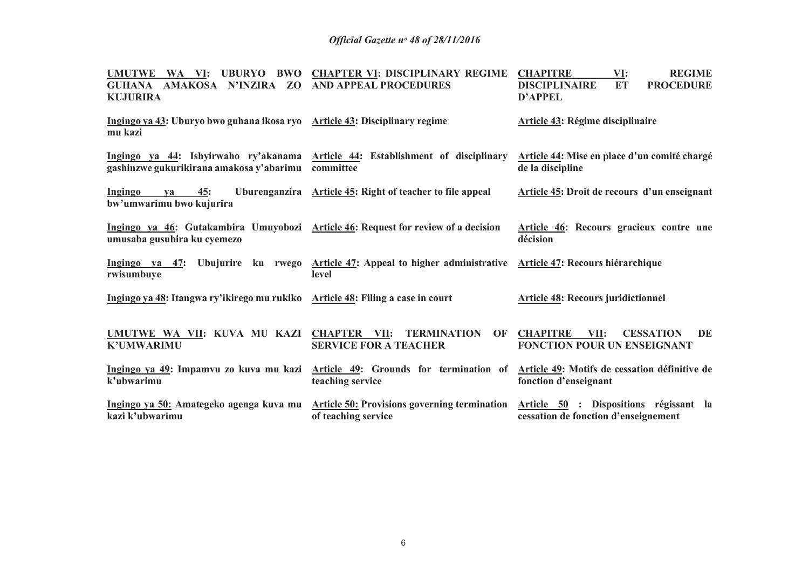| <b>UMUTWE</b><br>UBURYO BWO<br>WA VI:<br><b>GUHANA</b><br>AMAKOSA N'INZIRA ZO<br><b>KUJURIRA</b>                 | <b>CHAPTER VI: DISCIPLINARY REGIME</b><br><b>AND APPEAL PROCEDURES</b>                                                  | VI:<br><b>REGIME</b><br><b>CHAPITRE</b><br><b>PROCEDURE</b><br><b>DISCIPLINAIRE</b><br><b>ET</b><br><b>D'APPEL</b> |  |  |  |
|------------------------------------------------------------------------------------------------------------------|-------------------------------------------------------------------------------------------------------------------------|--------------------------------------------------------------------------------------------------------------------|--|--|--|
| Ingingo ya 43: Uburyo bwo guhana ikosa ryo Article 43: Disciplinary regime<br>mu kazi                            |                                                                                                                         | <b>Article 43: Régime disciplinaire</b>                                                                            |  |  |  |
| gashinzwe gukurikirana amakosa y'abarimu                                                                         | Ingingo ya 44: Ishyirwaho ry'akanama Article 44: Establishment of disciplinary<br>committee                             | Article 44: Mise en place d'un comité chargé<br>de la discipline                                                   |  |  |  |
| 45:<br>Ingingo<br><b>va</b><br>bw'umwarimu bwo kujurira                                                          | Uburenganzira Article 45: Right of teacher to file appeal                                                               | Article 45: Droit de recours d'un enseignant                                                                       |  |  |  |
| Ingingo ya 46: Gutakambira Umuyobozi Article 46: Request for review of a decision<br>umusaba gusubira ku cyemezo |                                                                                                                         | Article 46: Recours gracieux contre une<br>décision                                                                |  |  |  |
| rwisumbuye                                                                                                       | Ingingo ya 47: Ubujurire ku rwego Article 47: Appeal to higher administrative Article 47: Recours hiérarchique<br>level |                                                                                                                    |  |  |  |
| Ingingo ya 48: Itangwa ry'ikirego mu rukiko Article 48: Filing a case in court                                   |                                                                                                                         | <b>Article 48: Recours juridictionnel</b>                                                                          |  |  |  |
| UMUTWE WA VII: KUVA MU KAZI CHAPTER VII:<br><b>K'UMWARIMU</b>                                                    | <b>TERMINATION OF</b><br><b>SERVICE FOR A TEACHER</b>                                                                   | <b>CHAPITRE</b><br>VII:<br><b>CESSATION</b><br>DE<br><b>FONCTION POUR UN ENSEIGNANT</b>                            |  |  |  |
| k'ubwarimu                                                                                                       | Ingingo ya 49: Impamvu zo kuva mu kazi Article 49: Grounds for termination of<br>teaching service                       | Article 49: Motifs de cessation définitive de<br>fonction d'enseignant                                             |  |  |  |
| Ingingo ya 50: Amategeko agenga kuva mu<br>kazi k'ubwarimu                                                       | <b>Article 50: Provisions governing termination</b><br>of teaching service                                              | Article 50 : Dispositions régissant la<br>cessation de fonction d'enseignement                                     |  |  |  |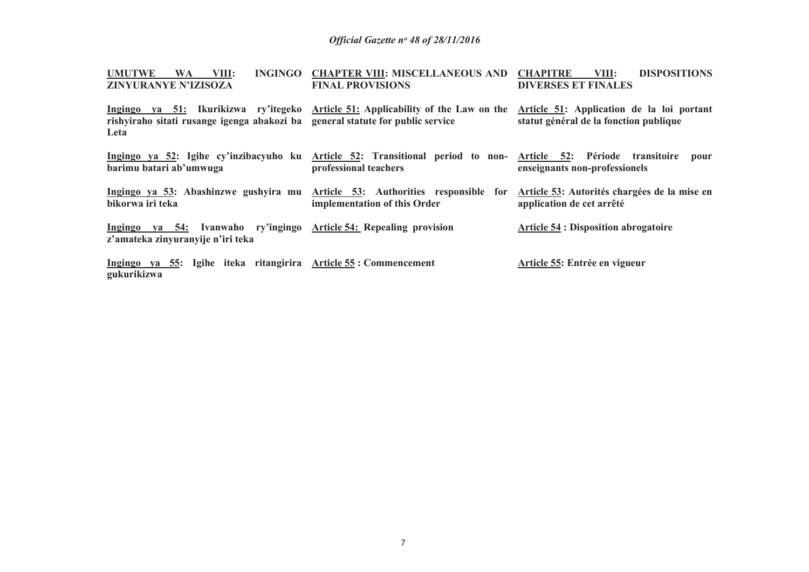| <b>UMUTWE</b><br><b>WA</b><br>VIII:                                                                     | INGINGO CHAPTER VIII: MISCELLANEOUS AND CHAPITRE                                                                                        | VIII:<br><b>DISPOSITIONS</b>                                                        |
|---------------------------------------------------------------------------------------------------------|-----------------------------------------------------------------------------------------------------------------------------------------|-------------------------------------------------------------------------------------|
| ZINYURANYE N'IZISOZA                                                                                    | <b>FINAL PROVISIONS</b>                                                                                                                 | <b>DIVERSES ET FINALES</b>                                                          |
| rishyiraho sitati rusange igenga abakozi ba general statute for public service<br>Leta                  | Ingingo ya 51: Ikurikizwa ry'itegeko Article 51: Applicability of the Law on the                                                        | Article 51: Application de la loi portant<br>statut général de la fonction publique |
| barimu batari ab'umwuga                                                                                 | Ingingo ya 52: Igihe cy'inzibacyuho ku Article 52: Transitional period to non- Article 52: Période transitoire<br>professional teachers | pour<br>enseignants non-professionels                                               |
| bikorwa iri teka                                                                                        | Ingingo ya 53: Abashinzwe gushyira mu Article 53: Authorities responsible for<br>implementation of this Order                           | Article 53: Autorités chargées de la mise en<br>application de cet arrêté           |
| Ingingo ya 54: Ivanwaho ry'ingingo Article 54: Repealing provision<br>z'amateka zinyuranyije n'iri teka |                                                                                                                                         | <b>Article 54 : Disposition abrogatoire</b>                                         |
| Ingingo ya 55: Igihe iteka ritangirira Article 55: Commencement<br>gukurikizwa                          |                                                                                                                                         | Article 55: Entrée en vigueur                                                       |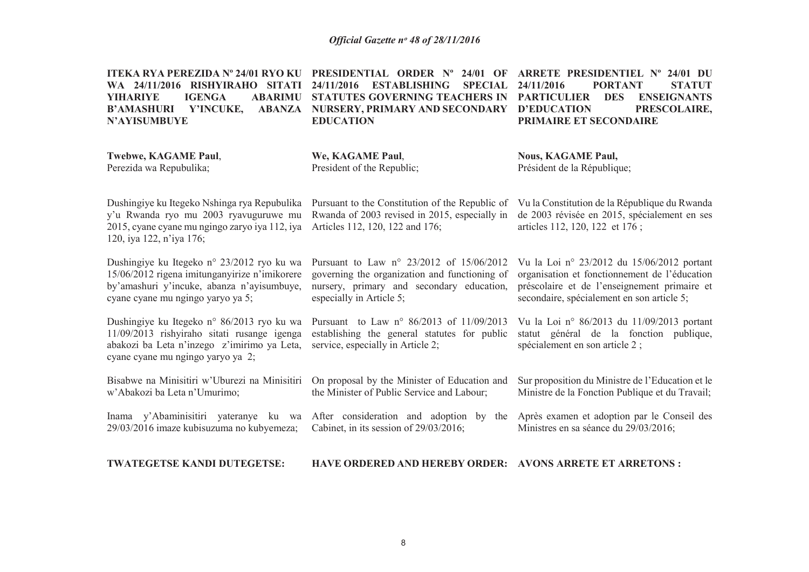| ITEKA RYA PEREZIDA Nº 24/01 RYO KU<br><b>SITATI</b><br><b>WA 24/11/2016 RISHYIRAHO</b><br><b>YIHARIYE</b><br><b>IGENGA</b><br><b>ABARIMU</b><br><b>B'AMASHURI</b><br>Y'INCUKE,<br><b>ABANZA</b><br><b>N'AYISUMBUYE</b> | <b>PRESIDENTIAL ORDER N° 24/01 OF</b><br>ARRETE PRESIDENTIEL N° 24/01 DU<br>24/11/2016<br><b>ESTABLISHING</b><br><b>SPECIAL</b><br>24/11/2016<br><b>PORTANT</b><br><b>STATUT</b><br><b>STATUTES GOVERNING TEACHERS IN</b><br><b>PARTICULIER</b><br><b>DES</b><br><b>ENSEIGNANTS</b><br><b>NURSERY, PRIMARY AND SECONDARY</b><br><b>D'EDUCATION</b><br>PRESCOLAIRE,<br><b>EDUCATION</b><br>PRIMAIRE ET SECONDAIRE |                                                                                                                                                                                           |  |
|------------------------------------------------------------------------------------------------------------------------------------------------------------------------------------------------------------------------|------------------------------------------------------------------------------------------------------------------------------------------------------------------------------------------------------------------------------------------------------------------------------------------------------------------------------------------------------------------------------------------------------------------|-------------------------------------------------------------------------------------------------------------------------------------------------------------------------------------------|--|
| Twebwe, KAGAME Paul,<br>Perezida wa Repubulika;                                                                                                                                                                        | We, KAGAME Paul,<br>President of the Republic;                                                                                                                                                                                                                                                                                                                                                                   | <b>Nous, KAGAME Paul,</b><br>Président de la République;                                                                                                                                  |  |
| Dushingiye ku Itegeko Nshinga rya Repubulika<br>y'u Rwanda ryo mu 2003 ryavuguruwe mu<br>2015, cyane cyane mu ngingo zaryo iya 112, iya<br>120, iya 122, n'iya 176;                                                    | Pursuant to the Constitution of the Republic of<br>Rwanda of 2003 revised in 2015, especially in<br>Articles 112, 120, 122 and 176;                                                                                                                                                                                                                                                                              | Vu la Constitution de la République du Rwanda<br>de 2003 révisée en 2015, spécialement en ses<br>articles 112, 120, 122 et 176;                                                           |  |
| Dushingiye ku Itegeko n° 23/2012 ryo ku wa<br>15/06/2012 rigena imitunganyirize n'imikorere<br>by'amashuri y'incuke, abanza n'ayisumbuye,<br>cyane cyane mu ngingo yaryo ya 5;                                         | Pursuant to Law n° 23/2012 of 15/06/2012<br>governing the organization and functioning of<br>nursery, primary and secondary education,<br>especially in Article 5;                                                                                                                                                                                                                                               | Vu la Loi nº 23/2012 du 15/06/2012 portant<br>organisation et fonctionnement de l'éducation<br>préscolaire et de l'enseignement primaire et<br>secondaire, spécialement en son article 5; |  |
| Dushingiye ku Itegeko n° 86/2013 ryo ku wa<br>11/09/2013 rishyiraho sitati rusange igenga<br>abakozi ba Leta n'inzego z'imirimo ya Leta,<br>cyane cyane mu ngingo yaryo ya 2;                                          | Pursuant to Law n° 86/2013 of 11/09/2013<br>establishing the general statutes for public<br>service, especially in Article 2;                                                                                                                                                                                                                                                                                    | Vu la Loi nº 86/2013 du 11/09/2013 portant<br>statut général de la fonction publique,<br>spécialement en son article 2;                                                                   |  |
| Bisabwe na Minisitiri w'Uburezi na Minisitiri<br>w'Abakozi ba Leta n'Umurimo;                                                                                                                                          | On proposal by the Minister of Education and<br>the Minister of Public Service and Labour;                                                                                                                                                                                                                                                                                                                       | Sur proposition du Ministre de l'Education et le<br>Ministre de la Fonction Publique et du Travail;                                                                                       |  |
| 29/03/2016 imaze kubisuzuma no kubyemeza;                                                                                                                                                                              | Inama y'Abaminisitiri yateranye ku wa After consideration and adoption by the<br>Cabinet, in its session of 29/03/2016;                                                                                                                                                                                                                                                                                          | Après examen et adoption par le Conseil des<br>Ministres en sa séance du 29/03/2016;                                                                                                      |  |

**TWATEGETSE KANDI DUTEGETSE: HAVE ORDERED AND HEREBY ORDER: AVONS ARRETE ET ARRETONS :**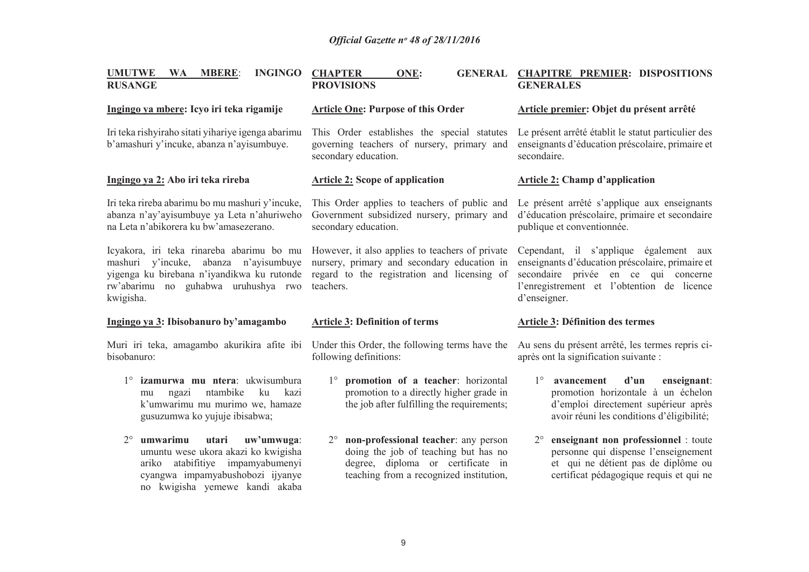| <b>MBERE:</b><br><b>INGINGO</b><br><b>UMUTWE</b><br><b>WA</b><br><b>RUSANGE</b>                                                                                                         | <b>CHAPTER</b><br>ONE:<br><b>PROVISIONS</b>                                                                                                                | GENERAL CHAPITRE PREMIER: DISPOSITIONS<br><b>GENERALES</b>                                                                                                                                       |  |  |
|-----------------------------------------------------------------------------------------------------------------------------------------------------------------------------------------|------------------------------------------------------------------------------------------------------------------------------------------------------------|--------------------------------------------------------------------------------------------------------------------------------------------------------------------------------------------------|--|--|
| Ingingo ya mbere: Icyo iri teka rigamije                                                                                                                                                | <b>Article One: Purpose of this Order</b>                                                                                                                  | Article premier: Objet du présent arrêté                                                                                                                                                         |  |  |
| Iri teka rishyiraho sitati yihariye igenga abarimu<br>b'amashuri y'incuke, abanza n'ayisumbuye.                                                                                         | This Order establishes the special statutes<br>governing teachers of nursery, primary and<br>secondary education.                                          | Le présent arrêté établit le statut particulier des<br>enseignants d'éducation préscolaire, primaire et<br>secondaire.                                                                           |  |  |
| Ingingo ya 2: Abo iri teka rireba                                                                                                                                                       | <b>Article 2: Scope of application</b>                                                                                                                     | <b>Article 2: Champ d'application</b>                                                                                                                                                            |  |  |
| Iri teka rireba abarimu bo mu mashuri y'incuke,<br>abanza n'ay'ayisumbuye ya Leta n'ahuriweho<br>na Leta n'abikorera ku bw'amasezerano.                                                 | This Order applies to teachers of public and<br>Government subsidized nursery, primary and<br>secondary education.                                         | Le présent arrêté s'applique aux enseignants<br>d'éducation préscolaire, primaire et secondaire<br>publique et conventionnée.                                                                    |  |  |
| Icyakora, iri teka rinareba abarimu bo mu<br>mashuri y'incuke,<br>abanza n'ayisumbuye<br>yigenga ku birebana n'iyandikwa ku rutonde<br>rw'abarimu no guhabwa uruhushya rwo<br>kwigisha. | However, it also applies to teachers of private<br>nursery, primary and secondary education in<br>regard to the registration and licensing of<br>teachers. | Cependant, il s'applique également aux<br>enseignants d'éducation préscolaire, primaire et<br>secondaire privée en ce qui concerne<br>l'enregistrement et l'obtention de licence<br>d'enseigner. |  |  |
| Ingingo ya 3: Ibisobanuro by'amagambo                                                                                                                                                   | <b>Article 3: Definition of terms</b>                                                                                                                      | Article 3: Définition des termes                                                                                                                                                                 |  |  |
| bisobanuro:                                                                                                                                                                             | Muri iri teka, amagambo akurikira afite ibi Under this Order, the following terms have the<br>following definitions:                                       | Au sens du présent arrêté, les termes repris ci-<br>après ont la signification suivante :                                                                                                        |  |  |
| izamurwa mu ntera: ukwisumbura<br>$1^{\circ}$                                                                                                                                           |                                                                                                                                                            | d'un<br>$1^{\circ}$<br>avancement                                                                                                                                                                |  |  |
| ntambike<br>kazi<br>ku<br>mu<br>ngazi<br>k'umwarimu mu murimo we, hamaze<br>gusuzumwa ko yujuje ibisabwa;                                                                               | promotion of a teacher: horizontal<br>$1^{\circ}$<br>promotion to a directly higher grade in<br>the job after fulfilling the requirements;                 | enseignant:<br>promotion horizontale à un échelon<br>d'emploi directement supérieur après<br>avoir réuni les conditions d'éligibilité;                                                           |  |  |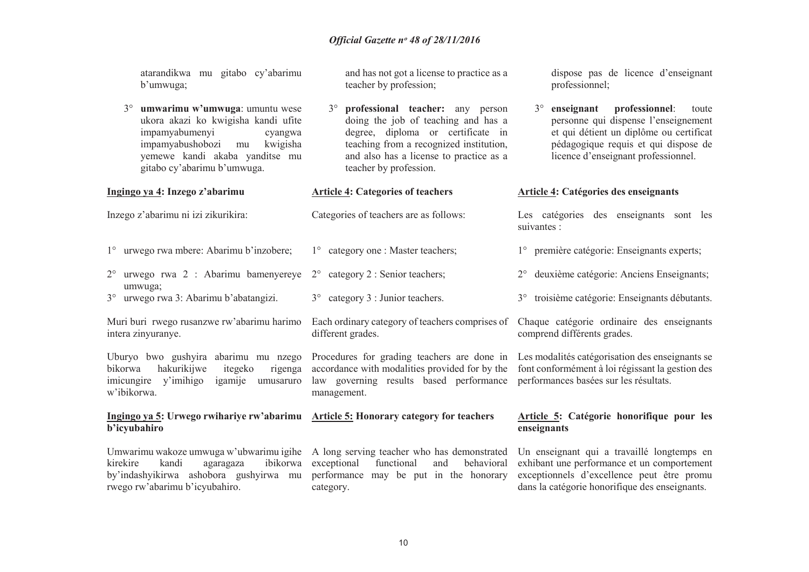atarandikwa mu gitabo cy'abarimu b'umwuga;

3° **umwarimu w'umwuga**: umuntu wese ukora akazi ko kwigisha kandi ufite impamyabumenyi cyangwa impamyabushobozi mu kwigisha yemewe kandi akaba yanditse mu gitabo cy'abarimu b'umwuga.

and has not got a license to practice as a teacher by profession;

 $3^\circ$  **professional teacher:** any person doing the job of teaching and has a degree, diploma or certificate in teaching from a recognized institution, and also has a license to practice as a teacher by profession.

dispose pas de licence d'enseignant professionnel;

 $3^\circ$  **enseignant professionnel**: toute personne qui dispense l'enseignement et qui détient un diplôme ou certificat pédagogique requis et qui dispose de licence d'enseignant professionnel.

#### **Article 4: Catégories des enseignants**

suivantes :

Les catégories des enseignants sont les

1° première catégorie: Enseignants experts;

2° deuxième catégorie: Anciens Enseignants;

3° troisième catégorie: Enseignants débutants.

Inzego z'abarimu ni izi zikurikira:

3° urwego rwa 3: Abarimu b'abatangizi.

bikorwa hakurikijwe itegeko

rwego rw'abarimu b'icyubahiro.

intera zinyuranye.

w'ibikorwa.

**b'icyubahiro** 

**Ingingo ya 4: Inzego z'abarimu**

- 1° urwego rwa mbere: Abarimu b'inzobere; 1° category one : Master teachers;
- 2° urwego rwa 2 : Abarimu bamenyereye 2°umwuga; category 2 : Senior teachers;
	- 3° category 3 : Junior teachers.

**Article 4: Categories of teachers** 

Categories of teachers are as follows:

Muri buri rwego rusanzwe rw'abarimu harimo Each ordinary category of teachers comprises of different grades.

Uburyo bwo gushyira abarimu mu nzego rigenga imicungire y'imihigo igamije umusaruro accordance with modalities provided for by the law governing results based performance performances basées sur les résultats. management.

**Ingingo ya 5: Urwego rwihariye rw'abarimu Article 5: Honorary category for teachers** 

category.

Umwarimu wakoze umwuga w'ubwarimu igihe A long serving teacher who has demonstrated kirekire kandi agaragaza ibikorwa exceptional functional and behavioral by'indashyikirwa ashobora gushyirwa mu performance may be put in the honorary

Chaque catégorie ordinaire des enseignants comprend différents grades.

Procedures for grading teachers are done in Les modalités catégorisation des enseignants se font conformément à loi régissant la gestion des

#### **Article 5: Catégorie honorifique pour les enseignants**

Un enseignant qui a travaillé longtemps en exhibant une performance et un comportement exceptionnels d'excellence peut être promu dans la catégorie honorifique des enseignants.

behavioral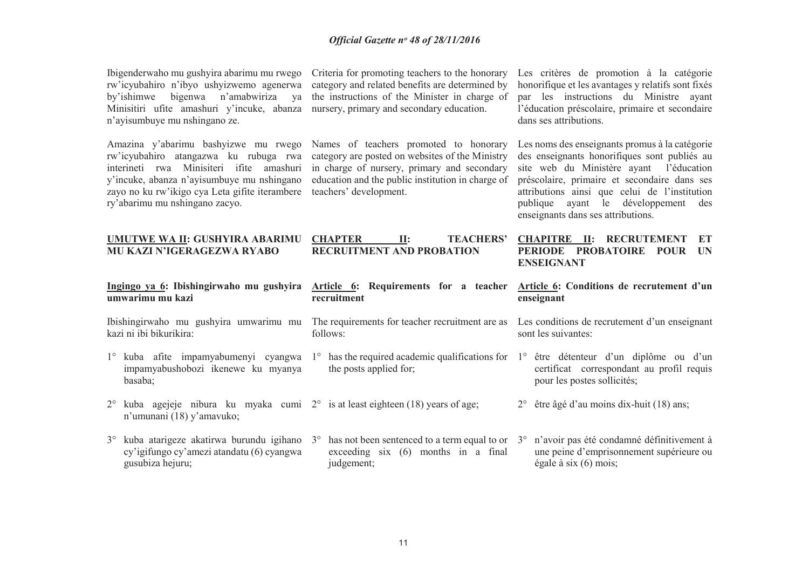| Ibigenderwaho mu gushyira abarimu mu rwego Cr |  |
|-----------------------------------------------|--|
| rw'icyubahiro n'ibyo ushyizwemo agenerwa ca   |  |
| by'ishimwe bigenwa n'amabwiriza ya the        |  |
| Minisitiri ufite amashuri y'incuke, abanza nu |  |
| n'ayisumbuye mu nshingano ze.                 |  |

 rw'icyubahiro atangazwa ku rubuga rwa zayo no ku rw'ikigo cya Leta gifite iterambere teachers' development.ry'abarimu mu nshingano zacyo.

riteria for promoting teachers to the honorary category and related benefits are determined by the instructions of the Minister in charge of arsery, primary and secondary education.

Amazina y'abarimu bashyizwe mu rwego Names of teachers promoted to honorary interineti rwa Minisiteri ifite amashuri in charge of nursery, primary and secondary y'incuke, abanza n'ayisumbuye mu nshingano education and the public institution in charge of category are posted on websites of the Ministry

Les critères de promotion à la catégorie honorifique et les avantages y relatifs sont fixés par les instructions du Ministre ayant l'éducation préscolaire, primaire et secondaire dans ses attributions.

Les noms des enseignants promus à la catégorie des enseignants honorifiques sont publiés au site web du Ministère ayant l'éducation préscolaire, primaire et secondaire dans ses attributions ainsi que celui de l'institution publique ayant le développement des enseignants dans ses attributions.

| UMUTWE WA II: GUSHYIRA ABARIMU<br>MU KAZI N'IGERAGEZWA RYABO                                                                      | <b>TEACHERS'</b><br><b>CHAPTER</b><br>$\mathbf{II}$ :<br><b>RECRUITMENT AND PROBATION</b>       | <b>CHAPITRE</b><br><b>RECRUTEMENT</b><br>$\mathbf{u}$ :<br>ET<br>PERIODE PROBATOIRE<br><b>POUR</b><br>IIN<br><b>ENSEIGNANT</b> |  |
|-----------------------------------------------------------------------------------------------------------------------------------|-------------------------------------------------------------------------------------------------|--------------------------------------------------------------------------------------------------------------------------------|--|
| Ingingo ya 6: Ibishingirwaho mu gushyira                                                                                          | Article 6: Requirements for a teacher                                                           | Article 6: Conditions de recrutement d'un                                                                                      |  |
| umwarimu mu kazi                                                                                                                  | recruitment                                                                                     | enseignant                                                                                                                     |  |
| Ibishingirwaho mu gushyira umwarimu mu                                                                                            | The requirements for teacher recruitment are as                                                 | Les conditions de recrutement d'un enseignant                                                                                  |  |
| kazi ni ibi bikurikira:                                                                                                           | follows:                                                                                        | sont les suivantes:                                                                                                            |  |
| kuba afite impamyabumenyi cyangwa<br>$1^{\circ}$<br>impamyabushobozi ikenewe ku myanya<br>basaba;                                 | has the required academic qualifications for $1^\circ$<br>$1^{\circ}$<br>the posts applied for; | être détenteur d'un diplôme ou d'un<br>certificat correspondant au profil requis<br>pour les postes sollicités;                |  |
| kuba agejeje nibura ku myaka cumi $2^{\circ}$ is at least eighteen (18) years of age;<br>$2^{\circ}$<br>n'umunani (18) y'amavuko; |                                                                                                 | $2^{\circ}$ être âgé d'au moins dix-huit (18) ans;                                                                             |  |
| kuba atarigeze akatirwa burundu igihano                                                                                           | has not been sentenced to a term equal to or                                                    | n'avoir pas été condamné définitivement à                                                                                      |  |
| $3^{\circ}$                                                                                                                       | $3^\circ$                                                                                       | $3^\circ$                                                                                                                      |  |
| cy'igifungo cy'amezi atandatu (6) cyangwa                                                                                         | exceeding $six(6)$ months in a final                                                            | une peine d'emprisonnement supérieure ou                                                                                       |  |
| gusubiza hejuru;                                                                                                                  | judgement;                                                                                      | égale à six $(6)$ mois;                                                                                                        |  |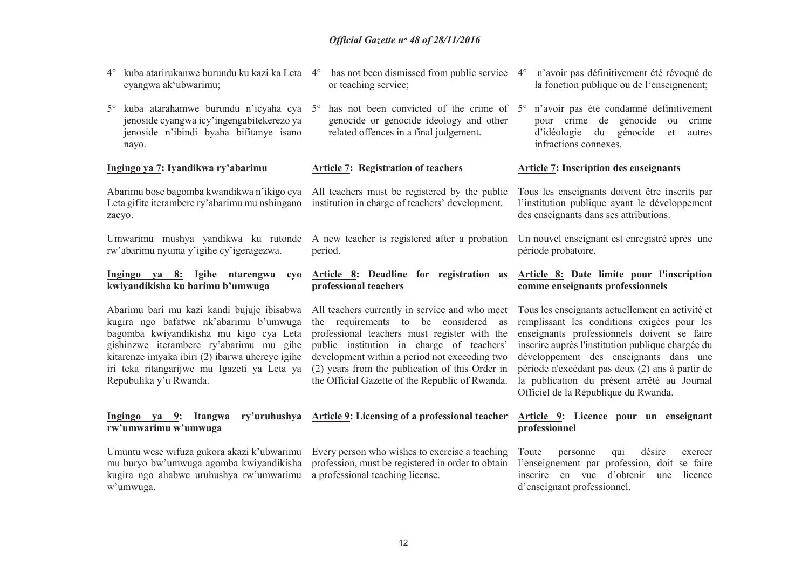4° kuba atarirukanwe burundu ku kazi ka Leta 4° has not been dismissed from public service 4° <sup>n</sup>'avoir pas définitivement été révoqué de

| cyangwa ak'ubwarimu;                                                                                                                                                                                                                                                                                  | or teaching service;                                                                                                                                                                                                                                                                                                                       | la fonction publique ou de l'enseignement;                                                                                                                                                                                                                                                                                                                                              |  |  |
|-------------------------------------------------------------------------------------------------------------------------------------------------------------------------------------------------------------------------------------------------------------------------------------------------------|--------------------------------------------------------------------------------------------------------------------------------------------------------------------------------------------------------------------------------------------------------------------------------------------------------------------------------------------|-----------------------------------------------------------------------------------------------------------------------------------------------------------------------------------------------------------------------------------------------------------------------------------------------------------------------------------------------------------------------------------------|--|--|
| kuba atarahamwe burundu n'icyaha cya<br>$5^{\circ}$<br>jenoside cyangwa icy'ingengabitekerezo ya<br>jenoside n'ibindi byaha bifitanye isano<br>nayo.                                                                                                                                                  | has not been convicted of the crime of 5°<br>$5^\circ$<br>genocide or genocide ideology and other<br>related offences in a final judgement.                                                                                                                                                                                                | n'avoir pas été condamné définitivement<br>pour crime de génocide ou<br>crime<br>d'idéologie<br>du<br>génocide<br>et<br>autres<br>infractions connexes.                                                                                                                                                                                                                                 |  |  |
| Ingingo ya 7: Iyandikwa ry'abarimu                                                                                                                                                                                                                                                                    | <b>Article 7: Registration of teachers</b>                                                                                                                                                                                                                                                                                                 | <b>Article 7: Inscription des enseignants</b>                                                                                                                                                                                                                                                                                                                                           |  |  |
| Abarimu bose bagomba kwandikwa n'ikigo cya<br>Leta gifite iterambere ry'abarimu mu nshingano<br>zacyo.                                                                                                                                                                                                | All teachers must be registered by the public<br>institution in charge of teachers' development.                                                                                                                                                                                                                                           | Tous les enseignants doivent être inscrits par<br>l'institution publique ayant le développement<br>des enseignants dans ses attributions.                                                                                                                                                                                                                                               |  |  |
| Umwarimu mushya yandikwa ku rutonde<br>rw'abarimu nyuma y'igihe cy'igeragezwa.                                                                                                                                                                                                                        | A new teacher is registered after a probation<br>period.                                                                                                                                                                                                                                                                                   | Un nouvel enseignant est enregistré après une<br>période probatoire.                                                                                                                                                                                                                                                                                                                    |  |  |
| Ingingo ya 8: Igihe ntarengwa<br>cyo<br>kwiyandikisha ku barimu b'umwuga                                                                                                                                                                                                                              | Article 8: Deadline for registration as<br>professional teachers                                                                                                                                                                                                                                                                           | Article 8: Date limite pour l'inscription<br>comme enseignants professionnels                                                                                                                                                                                                                                                                                                           |  |  |
| Abarimu bari mu kazi kandi bujuje ibisabwa<br>kugira ngo bafatwe nk'abarimu b'umwuga<br>bagomba kwiyandikisha mu kigo cya Leta<br>gishinzwe iterambere ry'abarimu mu gihe<br>kitarenze imyaka ibiri (2) ibarwa uhereye igihe<br>iri teka ritangarijwe mu Igazeti ya Leta ya<br>Repubulika y'u Rwanda. | All teachers currently in service and who meet<br>the requirements to be considered as<br>professional teachers must register with the<br>public institution in charge of teachers'<br>development within a period not exceeding two<br>(2) years from the publication of this Order in<br>the Official Gazette of the Republic of Rwanda. | Tous les enseignants actuellement en activité et<br>remplissant les conditions exigées pour les<br>enseignants professionnels doivent se faire<br>inscrire auprès l'institution publique chargée du<br>développement des enseignants dans une<br>période n'excédant pas deux (2) ans à partir de<br>la publication du présent arrêté au Journal<br>Officiel de la République du Rwanda. |  |  |
| $Ingingo ya 9$ :<br><b>Itangwa</b><br>ry'uruhushya<br>rw'umwarimu w'umwuga                                                                                                                                                                                                                            | <b>Article 9:</b> Licensing of a professional teacher                                                                                                                                                                                                                                                                                      | Article 9: Licence pour un enseignant<br>professionnel                                                                                                                                                                                                                                                                                                                                  |  |  |
| Umuntu wese wifuza gukora akazi k'ubwarimu<br>mu buryo bw'umwuga agomba kwiyandikisha<br>kugira ngo ahabwe uruhushya rw'umwarimu<br>w'umwuga.                                                                                                                                                         | Every person who wishes to exercise a teaching<br>profession, must be registered in order to obtain<br>a professional teaching license.                                                                                                                                                                                                    | Toute<br>désire<br>personne<br>qui<br>exercer<br>l'enseignement par profession, doit se faire<br>inscrire en vue d'obtenir<br>licence<br>une<br>d'enseignant professionnel.                                                                                                                                                                                                             |  |  |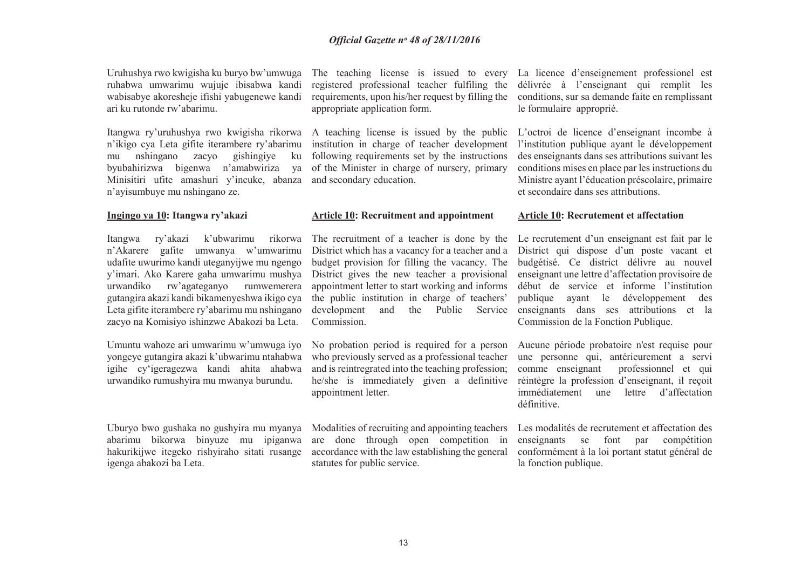Uruhushya rwo kwigisha ku buryo bw'umwuga ruhabwa umwarimu wujuje ibisabwa kandi wabisabye akoresheje ifishi yabugenewe kandi ari ku rutonde rw'abarimu.

Itangwa ry'uruhushya rwo kwigisha rikorwa n'ikigo cya Leta gifite iterambere ry'abarimu mu nshingano zacyo gishingiye ku byubahirizwa bigenwa n'amabwiriza ya Minisitiri ufite amashuri y'incuke, abanza and secondary education. n'ayisumbuye mu nshingano ze.

#### **Ingingo ya 10: Itangwa ry'akazi**

Itangwa ry'akazi k'ubwarimu rikorwa n'Akarere gafite umwanya w'umwarimu udafite uwurimo kandi uteganyijwe mu ngengo y'imari. Ako Karere gaha umwarimu mushya urwandiko rw'agateganyo rumwemerera gutangira akazi kandi bikamenyeshwa ikigo cya Leta gifite iterambere ry'abarimu mu nshingano zacyo na Komisiyo ishinzwe Abakozi ba Leta.

Umuntu wahoze ari umwarimu w'umwuga iyo yongeye gutangira akazi k'ubwarimu ntahabwa igihe cy'igeragezwa kandi ahita ahabwa urwandiko rumushyira mu mwanya burundu.

Uburyo bwo gushaka no gushyira mu myanya abarimu bikorwa binyuze mu ipiganwa hakurikijwe itegeko rishyiraho sitati rusange igenga abakozi ba Leta.

 registered professional teacher fulfiling the requirements, upon his/her request by filling the appropriate application form.

A teaching license is issued by the public institution in charge of teacher development following requirements set by the instructions of the Minister in charge of nursery, primary

#### **Article 10: Recruitment and appointment**

The recruitment of a teacher is done by the District which has a vacancy for a teacher and a budget provision for filling the vacancy. The District gives the new teacher a provisional appointment letter to start working and informs the public institution in charge of teachers' development and the Public Service Commission.

No probation period is required for a person who previously served as a professional teacher and is reintregrated into the teaching profession; he/she is immediately given a definitive appointment letter.

Modalities of recruiting and appointing teachers are done through open competition in accordance with the law establishing the general statutes for public service.

The teaching license is issued to every La licence d'enseignement professionel est délivrée à l'enseignant qui remplit les conditions, sur sa demande faite en remplissant le formulaire approprié.

> L'octroi de licence d'enseignant incombe à l'institution publique ayant le développement des enseignants dans ses attributions suivant les conditions mises en place par les instructions du Ministre ayant l'éducation préscolaire, primaire et secondaire dans ses attributions.

#### **Article 10: Recrutement et affectation**

Le recrutement d'un enseignant est fait par le District qui dispose d'un poste vacant et budgétisé. Ce district délivre au nouvel enseignant une lettre d'affectation provisoire de début de service et informe l'institution publique ayant le développement des enseignants dans ses attributions et la Commission de la Fonction Publique.

Aucune période probatoire n'est requise pour une personne qui, antérieurement a servi comme enseignant professionnel et qui réintègre la profession d'enseignant, il reçoit immédiatement une lettre d'affectation définitive.

Les modalités de recrutement et affectation des enseignants se font par compétition conformément à la loi portant statut général de la fonction publique.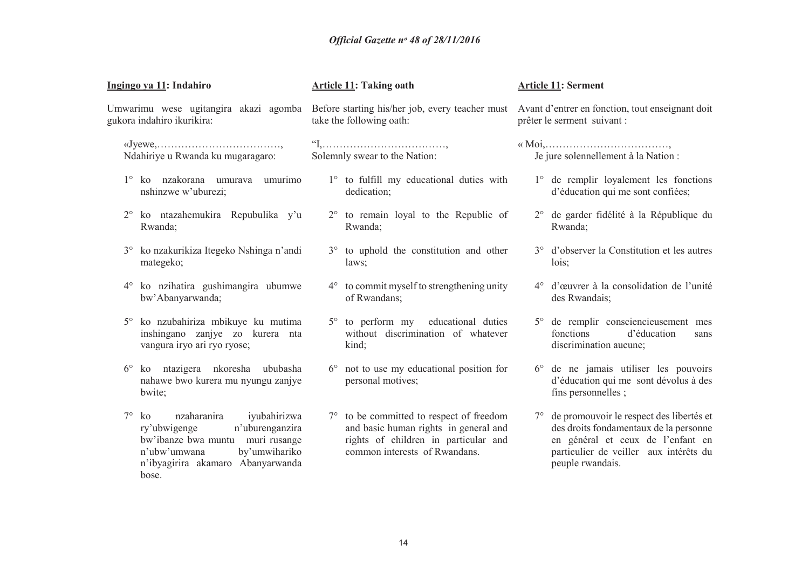| Ingingo ya 11: Indahiro<br>Umwarimu wese ugitangira akazi agomba<br>gukora indahiro ikurikira: |                                                                                                                                                                                         | <b>Article 11: Taking oath</b><br>Before starting his/her job, every teacher must<br>take the following oath: |                                                                                                                                                                     | <b>Article 11: Serment</b><br>Avant d'entrer en fonction, tout enseignant doit<br>prêter le serment suivant : |                                                                                                                                                                                          |  |
|------------------------------------------------------------------------------------------------|-----------------------------------------------------------------------------------------------------------------------------------------------------------------------------------------|---------------------------------------------------------------------------------------------------------------|---------------------------------------------------------------------------------------------------------------------------------------------------------------------|---------------------------------------------------------------------------------------------------------------|------------------------------------------------------------------------------------------------------------------------------------------------------------------------------------------|--|
|                                                                                                |                                                                                                                                                                                         |                                                                                                               |                                                                                                                                                                     |                                                                                                               |                                                                                                                                                                                          |  |
|                                                                                                | 1° ko nzakorana umurava umurimo<br>nshinzwe w'uburezi;                                                                                                                                  |                                                                                                               | 1° to fulfill my educational duties with<br>dedication;                                                                                                             |                                                                                                               | 1° de remplir loyalement les fonctions<br>d'éducation qui me sont confiées;                                                                                                              |  |
| $2^{\circ}$                                                                                    | ko ntazahemukira Repubulika y'u<br>Rwanda;                                                                                                                                              |                                                                                                               | 2° to remain loyal to the Republic of<br>Rwanda;                                                                                                                    |                                                                                                               | 2° de garder fidélité à la République du<br>Rwanda;                                                                                                                                      |  |
| $3^\circ$                                                                                      | ko nzakurikiza Itegeko Nshinga n'andi<br>mategeko;                                                                                                                                      |                                                                                                               | 3° to uphold the constitution and other<br>laws:                                                                                                                    |                                                                                                               | 3° d'observer la Constitution et les autres<br>lois;                                                                                                                                     |  |
| $4^{\circ}$                                                                                    | ko nzihatira gushimangira ubumwe<br>bw'Abanyarwanda;                                                                                                                                    |                                                                                                               | $4^{\circ}$ to commit myself to strengthening unity<br>of Rwandans;                                                                                                 |                                                                                                               | 4° d'œuvrer à la consolidation de l'unité<br>des Rwandais:                                                                                                                               |  |
| $5^\circ$                                                                                      | ko nzubahiriza mbikuye ku mutima<br>inshingano zanjye zo kurera nta<br>vangura iryo ari ryo ryose;                                                                                      |                                                                                                               | 5° to perform my educational duties<br>without discrimination of whatever<br>kind;                                                                                  |                                                                                                               | 5° de remplir consciencieusement mes<br>fonctions<br>d'éducation<br>sans<br>discrimination aucune;                                                                                       |  |
| $6^{\circ}$                                                                                    | ko ntazigera nkoresha ububasha<br>nahawe bwo kurera mu nyungu zanjye<br>bwite;                                                                                                          |                                                                                                               | $6^{\circ}$ not to use my educational position for<br>personal motives;                                                                                             |                                                                                                               | 6° de ne jamais utiliser les pouvoirs<br>d'éducation qui me sont dévolus à des<br>fins personnelles;                                                                                     |  |
| $7^\circ$                                                                                      | nzaharanira<br>ko<br>iyubahirizwa<br>n'uburenganzira<br>ry'ubwigenge<br>bw'ibanze bwa muntu muri rusange<br>by'umwihariko<br>n'ubw'umwana<br>n'ibyagirira akamaro Abanyarwanda<br>bose. |                                                                                                               | $7^{\circ}$ to be committed to respect of freedom<br>and basic human rights in general and<br>rights of children in particular and<br>common interests of Rwandans. |                                                                                                               | 7° de promouvoir le respect des libertés et<br>des droits fondamentaux de la personne<br>en général et ceux de l'enfant en<br>particulier de veiller aux intérêts du<br>peuple rwandais. |  |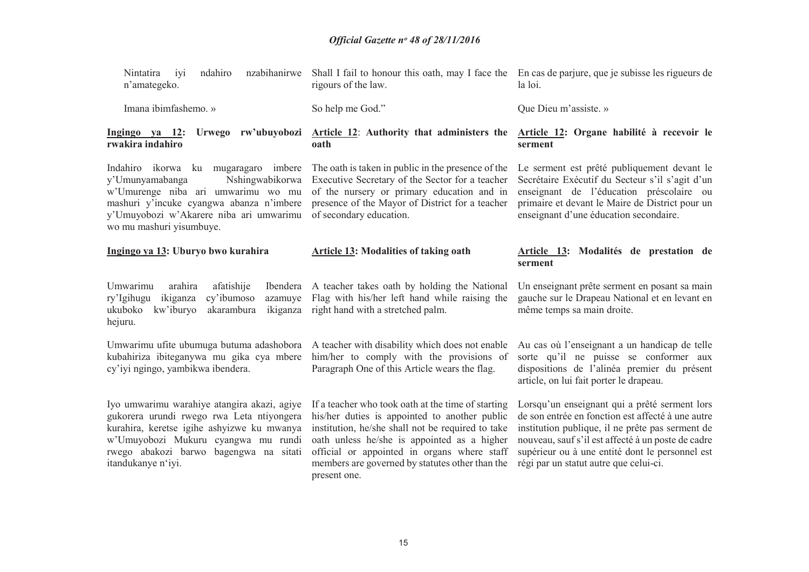| nzabihanirwe<br>iyi<br>ndahiro<br>Nintatira<br>n'amategeko.                                                                                                                                                                                   | Shall I fail to honour this oath, may I face the En cas de parjure, que je subisse les rigueurs de<br>rigours of the law.                                                                                                                                                                                                 | la loi.                                                                                                                                                                                                                                                                                                   |
|-----------------------------------------------------------------------------------------------------------------------------------------------------------------------------------------------------------------------------------------------|---------------------------------------------------------------------------------------------------------------------------------------------------------------------------------------------------------------------------------------------------------------------------------------------------------------------------|-----------------------------------------------------------------------------------------------------------------------------------------------------------------------------------------------------------------------------------------------------------------------------------------------------------|
| Imana ibimfashemo. »                                                                                                                                                                                                                          | So help me God."                                                                                                                                                                                                                                                                                                          | Que Dieu m'assiste. »                                                                                                                                                                                                                                                                                     |
| Ingingo ya 12: Urwego rw'ubuyobozi<br>rwakira indahiro                                                                                                                                                                                        | Article 12: Authority that administers the<br>oath                                                                                                                                                                                                                                                                        | Article 12: Organe habilité à recevoir le<br>serment                                                                                                                                                                                                                                                      |
| Indahiro ikorwa ku mugaragaro imbere<br>Nshingwabikorwa<br>y'Umunyamabanga<br>w'Umurenge niba ari umwarimu wo mu<br>mashuri y'incuke cyangwa abanza n'imbere<br>y'Umuyobozi w'Akarere niba ari umwarimu<br>wo mu mashuri yisumbuye.           | The oath is taken in public in the presence of the<br>Executive Secretary of the Sector for a teacher<br>of the nursery or primary education and in<br>presence of the Mayor of District for a teacher<br>of secondary education.                                                                                         | Le serment est prêté publiquement devant le<br>Secrétaire Exécutif du Secteur s'il s'agit d'un<br>enseignant de l'éducation préscolaire ou<br>primaire et devant le Maire de District pour un<br>enseignant d'une éducation secondaire.                                                                   |
| Ingingo ya 13: Uburyo bwo kurahira                                                                                                                                                                                                            | <b>Article 13: Modalities of taking oath</b>                                                                                                                                                                                                                                                                              | Article 13: Modalités de prestation de<br>serment                                                                                                                                                                                                                                                         |
| Umwarimu<br>arahira<br>afatishije<br>ikiganza<br>cy'ibumoso<br>ry'Igihugu<br>azamuye<br>ukuboko<br>kw'iburyo<br>akarambura<br>ikiganza<br>hejuru.                                                                                             | Ibendera A teacher takes oath by holding the National<br>Flag with his/her left hand while raising the<br>right hand with a stretched palm.                                                                                                                                                                               | Un enseignant prête serment en posant sa main<br>gauche sur le Drapeau National et en levant en<br>même temps sa main droite.                                                                                                                                                                             |
| kubahiriza ibiteganywa mu gika cya mbere<br>cy'iyi ngingo, yambikwa ibendera.                                                                                                                                                                 | Umwarimu ufite ubumuga butuma adashobora A teacher with disability which does not enable<br>him/her to comply with the provisions of<br>Paragraph One of this Article wears the flag.                                                                                                                                     | Au cas où l'enseignant a un handicap de telle<br>sorte qu'il ne puisse se conformer aux<br>dispositions de l'alinéa premier du présent<br>article, on lui fait porter le drapeau.                                                                                                                         |
| Iyo umwarimu warahiye atangira akazi, agiye<br>gukorera urundi rwego rwa Leta ntiyongera<br>kurahira, keretse igihe ashyizwe ku mwanya<br>w'Umuyobozi Mukuru cyangwa mu rundi<br>rwego abakozi barwo bagengwa na sitati<br>itandukanye n'iyi. | If a teacher who took oath at the time of starting<br>his/her duties is appointed to another public<br>institution, he/she shall not be required to take<br>oath unless he/she is appointed as a higher<br>official or appointed in organs where staff<br>members are governed by statutes other than the<br>present one. | Lorsqu'un enseignant qui a prêté serment lors<br>de son entrée en fonction est affecté à une autre<br>institution publique, il ne prête pas serment de<br>nouveau, sauf s'il est affecté à un poste de cadre<br>supérieur ou à une entité dont le personnel est<br>régi par un statut autre que celui-ci. |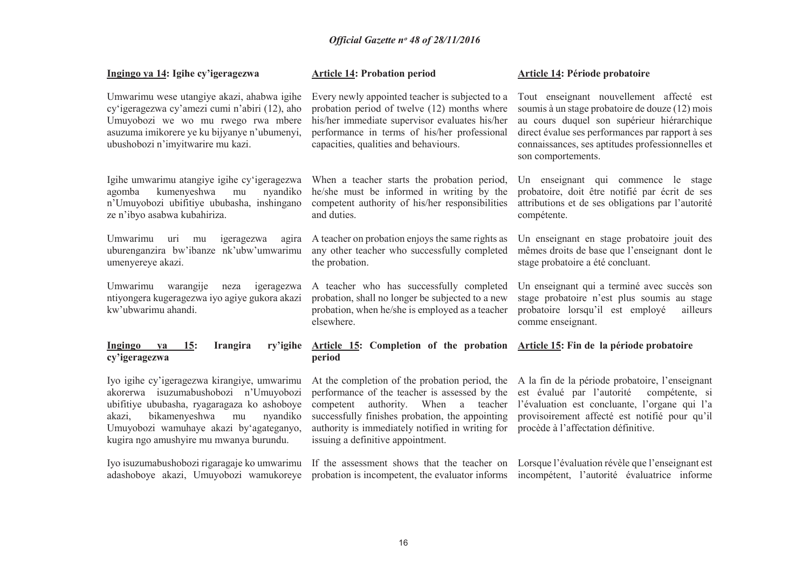| Ingingo ya 14: Igihe cy'igeragezwa                                                                                                                                                                                                                                     | <b>Article 14: Probation period</b>                                                                                                                                                                                                                                                   | Article 14: Période probatoire                                                                                                                                                                                                                                          |
|------------------------------------------------------------------------------------------------------------------------------------------------------------------------------------------------------------------------------------------------------------------------|---------------------------------------------------------------------------------------------------------------------------------------------------------------------------------------------------------------------------------------------------------------------------------------|-------------------------------------------------------------------------------------------------------------------------------------------------------------------------------------------------------------------------------------------------------------------------|
| Umwarimu wese utangiye akazi, ahabwa igihe<br>cy'igeragezwa cy'amezi cumi n'abiri (12), aho<br>Umuyobozi we wo mu rwego rwa mbere<br>asuzuma imikorere ye ku bijyanye n'ubumenyi,<br>ubushobozi n'imyitwarire mu kazi.                                                 | Every newly appointed teacher is subjected to a<br>probation period of twelve (12) months where<br>his/her immediate supervisor evaluates his/her<br>performance in terms of his/her professional<br>capacities, qualities and behaviours.                                            | Tout enseignant nouvellement affecté est<br>soumis à un stage probatoire de douze (12) mois<br>au cours duquel son supérieur hiérarchique<br>direct évalue ses performances par rapport à ses<br>connaissances, ses aptitudes professionnelles et<br>son comportements. |
| Igihe umwarimu atangiye igihe cy'igeragezwa<br>kumenyeshwa<br>nyandiko<br>agomba<br>mu<br>n'Umuyobozi ubifitiye ububasha, inshingano<br>ze n'ibyo asabwa kubahiriza.                                                                                                   | When a teacher starts the probation period,<br>he/she must be informed in writing by the<br>competent authority of his/her responsibilities<br>and duties.                                                                                                                            | Un enseignant qui commence le stage<br>probatoire, doit être notifié par écrit de ses<br>attributions et de ses obligations par l'autorité<br>compétente.                                                                                                               |
| Umwarimu<br>igeragezwa<br>uri<br>agira<br>mu<br>uburenganzira bw'ibanze nk'ubw'umwarimu<br>umenyereye akazi.                                                                                                                                                           | A teacher on probation enjoys the same rights as<br>any other teacher who successfully completed<br>the probation.                                                                                                                                                                    | Un enseignant en stage probatoire jouit des<br>mêmes droits de base que l'enseignant dont le<br>stage probatoire a été concluant.                                                                                                                                       |
| Umwarimu<br>warangije<br>neza<br>igeragezwa<br>ntiyongera kugeragezwa iyo agiye gukora akazi<br>kw'ubwarimu ahandi.                                                                                                                                                    | A teacher who has successfully completed<br>probation, shall no longer be subjected to a new<br>probation, when he/she is employed as a teacher<br>elsewhere.                                                                                                                         | Un enseignant qui a terminé avec succès son<br>stage probatoire n'est plus soumis au stage<br>probatoire lorsqu'il est employé<br>ailleurs<br>comme enseignant.                                                                                                         |
| Ingingo<br>15:<br>Irangira<br>ry'igihe<br>ya<br>cy'igeragezwa                                                                                                                                                                                                          | Article 15: Completion of the probation<br>period                                                                                                                                                                                                                                     | Article 15: Fin de la période probatoire                                                                                                                                                                                                                                |
| Iyo igihe cy'igeragezwa kirangiye, umwarimu<br>akorerwa isuzumabushobozi n'Umuyobozi<br>ubifitiye ububasha, ryagaragaza ko ashoboye<br>bikamenyeshwa<br>nyandiko<br>akazi,<br>mu<br>Umuyobozi wamuhaye akazi by'agateganyo,<br>kugira ngo amushyire mu mwanya burundu. | At the completion of the probation period, the<br>performance of the teacher is assessed by the<br>authority. When a teacher<br>competent<br>successfully finishes probation, the appointing<br>authority is immediately notified in writing for<br>issuing a definitive appointment. | A la fin de la période probatoire, l'enseignant<br>est évalué par l'autorité<br>compétente, si<br>l'évaluation est concluante, l'organe qui l'a<br>provisoirement affecté est notifié pour qu'il<br>procède à l'affectation définitive.                                 |
| Iyo isuzumabushobozi rigaragaje ko umwarimu<br>adashoboye akazi, Umuyobozi wamukoreye                                                                                                                                                                                  | If the assessment shows that the teacher on Lorsque l'évaluation révèle que l'enseignant est<br>probation is incompetent, the evaluator informs                                                                                                                                       | incompétent, l'autorité évaluatrice informe                                                                                                                                                                                                                             |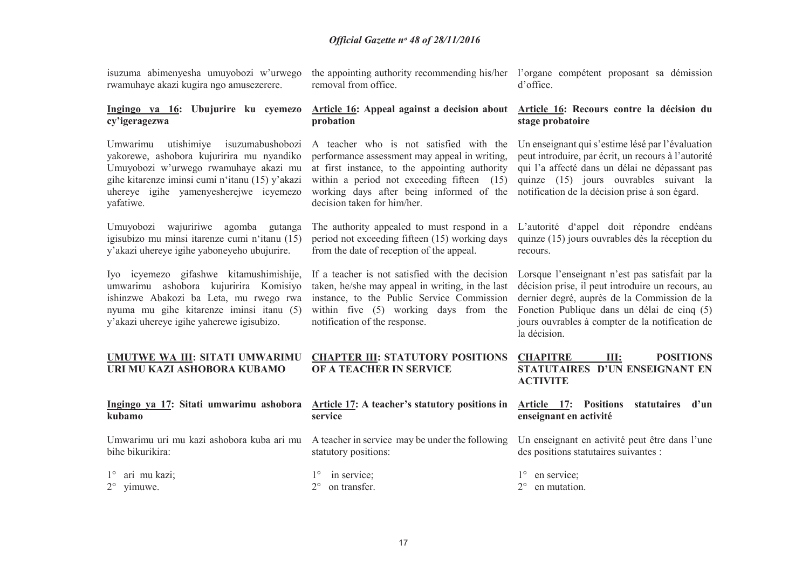isuzuma abimenyesha umuyobozi w'urwego rwamuhaye akazi kugira ngo amusezerere.

the appointing authority recommending his/her l'organe compétent proposant sa démission removal from office. d'office.

#### **Ingingo ya 16: Ubujurire ku cyemezo cy'igeragezwa**

Umwarimu utishimiye isuzumabushobozi yakorewe, ashobora kujuririra mu nyandiko Umuyobozi w'urwego rwamuhaye akazi mu gihe kitarenze iminsi cumi n'itanu (15) y'akazi uhereye igihe yamenyesherejwe icyemezo yafatiwe.

Umuyobozi wajuririwe agomba gutanga igisubizo mu minsi itarenze cumi n'itanu (15) y'akazi uhereye igihe yaboneyeho ubujurire.

Iyo icyemezo gifashwe kitamushimishije, umwarimu ashobora kujuririra Komisiyo ishinzwe Abakozi ba Leta, mu rwego rwa nyuma mu gihe kitarenze iminsi itanu (5) y'akazi uhereye igihe yaherewe igisubizo.

#### **Article 16: Appeal against a decision about probation**

A teacher who is not satisfied with the performance assessment may appeal in writing, at first instance, to the appointing authority within a period not exceeding fifteen (15) working days after being informed of the notification de la décision prise à son égard. decision taken for him/her.

period not exceeding fifteen (15) working days from the date of reception of the appeal.

If a teacher is not satisfied with the decision taken, he/she may appeal in writing, in the last instance, to the Public Service Commission within five (5) working days from the notification of the response.

#### **Article 16: Recours contre la décision du stage probatoire**

Un enseignant qui s'estime lésé par l'évaluation peut introduire, par écrit, un recours à l'autorité qui l'a affecté dans un délai ne dépassant pas quinze (15) jours ouvrables suivant la

The authority appealed to must respond in a L'autorité d'appel doit répondre endéans quinze (15) jours ouvrables dès la réception du recours.

> Lorsque l'enseignant n'est pas satisfait par la décision prise, il peut introduire un recours, au dernier degré, auprès de la Commission de la Fonction Publique dans un délai de cinq (5) jours ouvrables à compter de la notification de la décision.

#### **UMUTWE WA III: SITATI UMWARIMU URI MU KAZI ASHOBORA KUBAMO CHAPTER III: STATUTORY POSITIONS OF A TEACHER IN SERVICE CHAPITRE III: POSITIONS STATUTAIRES D'UN ENSEIGNANT EN ACTIVITE**

| kubamo                                        | Ingingo ya 17: Sitati umwarimu ashobora Article 17: A teacher's statutory positions in Article 17: Positions statutaires d'un<br>service                         | enseignant en activité                              |
|-----------------------------------------------|------------------------------------------------------------------------------------------------------------------------------------------------------------------|-----------------------------------------------------|
| bihe bikurikira:                              | Umwarimu uri mu kazi ashobora kuba ari mu A teacher in service may be under the following Un enseignant en activité peut être dans l'une<br>statutory positions: | des positions statutaires suivantes :               |
| $1^\circ$ ari mu kazi;<br>$2^{\circ}$ yimuwe. | $1^\circ$ in service;<br>$2^{\circ}$ on transfer.                                                                                                                | $1^{\circ}$ en service;<br>$2^{\circ}$ en mutation. |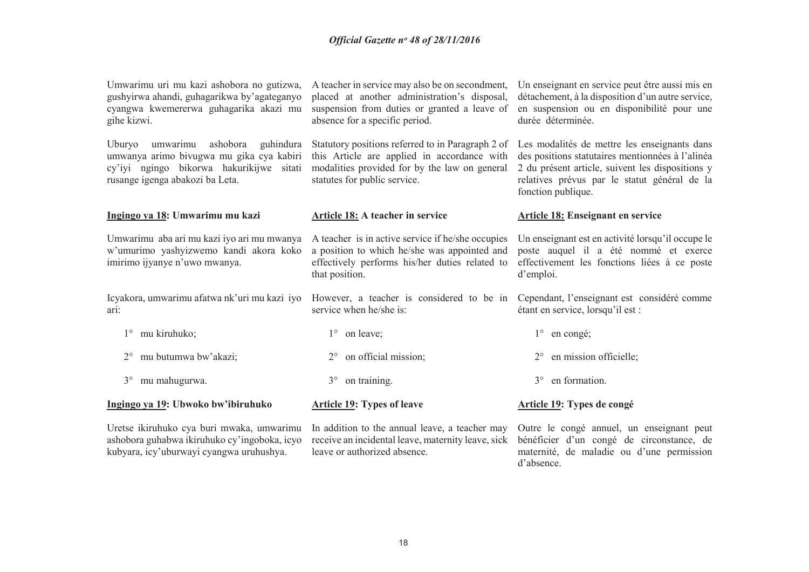| Umwarimu uri mu kazi ashobora no gutizwa,<br>gushyirwa ahandi, guhagarikwa by'agateganyo<br>cyangwa kwemererwa guhagarika akazi mu<br>gihe kizwi.                | A teacher in service may also be on secondment,<br>placed at another administration's disposal,<br>suspension from duties or granted a leave of<br>absence for a specific period. | Un enseignant en service peut être aussi mis en<br>détachement, à la disposition d'un autre service,<br>en suspension ou en disponibilité pour une<br>durée déterminée.                                                    |
|------------------------------------------------------------------------------------------------------------------------------------------------------------------|-----------------------------------------------------------------------------------------------------------------------------------------------------------------------------------|----------------------------------------------------------------------------------------------------------------------------------------------------------------------------------------------------------------------------|
| umwarimu ashobora guhindura<br>Uburyo<br>umwanya arimo bivugwa mu gika cya kabiri<br>cy'iyi ngingo bikorwa hakurikijwe sitati<br>rusange igenga abakozi ba Leta. | Statutory positions referred to in Paragraph 2 of<br>this Article are applied in accordance with<br>modalities provided for by the law on general<br>statutes for public service. | Les modalités de mettre les enseignants dans<br>des positions statutaires mentionnées à l'alinéa<br>2 du présent article, suivent les dispositions y<br>relatives prévus par le statut général de la<br>fonction publique. |
| Ingingo ya 18: Umwarimu mu kazi                                                                                                                                  | Article 18: A teacher in service                                                                                                                                                  | <b>Article 18: Enseignant en service</b>                                                                                                                                                                                   |
| Umwarimu aba ari mu kazi iyo ari mu mwanya<br>w'umurimo yashyizwemo kandi akora koko<br>imirimo ijyanye n'uwo mwanya.                                            | A teacher is in active service if he/she occupies<br>a position to which he/she was appointed and<br>effectively performs his/her duties related to<br>that position.             | Un enseignant est en activité lorsqu'il occupe le<br>poste auquel il a été nommé et exerce<br>effectivement les fonctions liées à ce poste<br>d'emploi.                                                                    |
| Icyakora, umwarimu afatwa nk'uri mu kazi iyo<br>ari:                                                                                                             | However, a teacher is considered to be in<br>service when he/she is:                                                                                                              | Cependant, l'enseignant est considéré comme<br>étant en service, lorsqu'il est :                                                                                                                                           |
| mu kiruhuko;<br>$1^{\circ}$                                                                                                                                      | $1^{\circ}$ on leave;                                                                                                                                                             | $1^\circ$ en congé;                                                                                                                                                                                                        |
| mu butumwa bw'akazi;                                                                                                                                             | on official mission;                                                                                                                                                              | en mission officielle;                                                                                                                                                                                                     |
| mu mahugurwa.<br>$3^\circ$                                                                                                                                       | on training.<br>$3^\circ$                                                                                                                                                         | en formation.<br>$3^\circ$                                                                                                                                                                                                 |
| Ingingo ya 19: Ubwoko bw'ibiruhuko                                                                                                                               | <b>Article 19: Types of leave</b>                                                                                                                                                 | Article 19: Types de congé                                                                                                                                                                                                 |
| Uretse ikiruhuko cya buri mwaka, umwarimu<br>ashobora guhabwa ikiruhuko cy'ingoboka, icyo<br>kubyara, icy'uburwayi cyangwa uruhushya.                            | In addition to the annual leave, a teacher may<br>receive an incidental leave, maternity leave, sick<br>leave or authorized absence.                                              | Outre le congé annuel, un enseignant peut<br>bénéficier d'un congé de circonstance, de<br>maternité, de maladie ou d'une permission                                                                                        |

d'absence.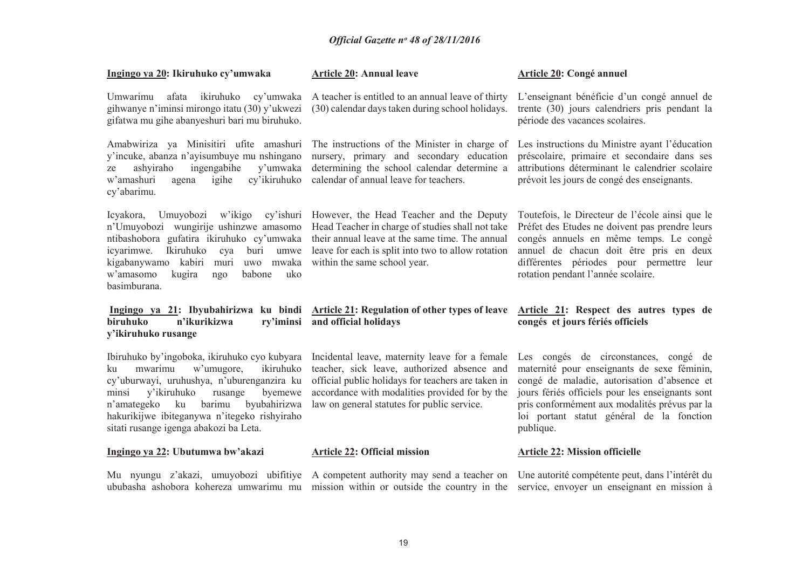| Ingingo ya 20: Ikiruhuko cy'umwaka                                                                                                                                                                                                                                                                                            | <b>Article 20: Annual leave</b>                                                                                                                                                                                                                      | <b>Article 20: Congé annuel</b>                                                                                                                                                                                                                                                                    |
|-------------------------------------------------------------------------------------------------------------------------------------------------------------------------------------------------------------------------------------------------------------------------------------------------------------------------------|------------------------------------------------------------------------------------------------------------------------------------------------------------------------------------------------------------------------------------------------------|----------------------------------------------------------------------------------------------------------------------------------------------------------------------------------------------------------------------------------------------------------------------------------------------------|
| afata ikiruhuko cy'umwaka<br>Umwarimu<br>gihwanye n'iminsi mirongo itatu (30) y'ukwezi<br>gifatwa mu gihe abanyeshuri bari mu biruhuko.                                                                                                                                                                                       | A teacher is entitled to an annual leave of thirty<br>(30) calendar days taken during school holidays.                                                                                                                                               | L'enseignant bénéficie d'un congé annuel de<br>trente (30) jours calendriers pris pendant la<br>période des vacances scolaires.                                                                                                                                                                    |
| Amabwiriza ya Minisitiri ufite amashuri<br>y'incuke, abanza n'ayisumbuye mu nshingano<br>ashyiraho<br>ingengabihe<br>y'umwaka<br>ze<br>w'amashuri<br>cy'ikiruhuko<br>agena<br>igihe<br>cy'abarimu.                                                                                                                            | The instructions of the Minister in charge of<br>nursery, primary and secondary education<br>determining the school calendar determine a<br>calendar of annual leave for teachers.                                                                   | Les instructions du Ministre ayant l'éducation<br>préscolaire, primaire et secondaire dans ses<br>attributions déterminant le calendrier scolaire<br>prévoit les jours de congé des enseignants.                                                                                                   |
| Icyakora,<br>Umuyobozi<br>w'ikigo<br>n'Umuyobozi wungirije ushinzwe amasomo<br>ntibashobora gufatira ikiruhuko cy'umwaka<br>icyarimwe.<br>Ikiruhuko<br>cya<br>buri<br>umwe<br>kigabanywamo kabiri muri<br>uwo mwaka<br>w'amasomo<br>kugira<br>babone<br>uko<br>ngo<br>basimburana.                                            | cy'ishuri However, the Head Teacher and the Deputy<br>Head Teacher in charge of studies shall not take<br>their annual leave at the same time. The annual<br>leave for each is split into two to allow rotation<br>within the same school year.      | Toutefois, le Directeur de l'école ainsi que le<br>Préfet des Etudes ne doivent pas prendre leurs<br>congés annuels en même temps. Le congé<br>annuel de chacun doit être pris en deux<br>différentes périodes pour permettre leur<br>rotation pendant l'année scolaire.                           |
| Ingingo ya 21: Ibyubahirizwa ku bindi Article 21: Regulation of other types of leave                                                                                                                                                                                                                                          |                                                                                                                                                                                                                                                      | Article 21: Respect des autres types de                                                                                                                                                                                                                                                            |
| biruhuko<br>n'ikurikizwa<br>y'ikiruhuko rusange                                                                                                                                                                                                                                                                               | ry'iminsi and official holidays                                                                                                                                                                                                                      | congés et jours fériés officiels                                                                                                                                                                                                                                                                   |
| Ibiruhuko by'ingoboka, ikiruhuko cyo kubyara<br>mwarimu<br>w'umugore,<br>ikiruhuko<br>ku<br>cy'uburwayi, uruhushya, n'uburenganzira ku<br>y'ikiruhuko<br>rusange<br>byemewe<br>minsi<br>byubahirizwa<br>n'amategeko<br>ku<br>barimu<br>hakurikijwe ibiteganywa n'itegeko rishyiraho<br>sitati rusange igenga abakozi ba Leta. | Incidental leave, maternity leave for a female<br>teacher, sick leave, authorized absence and<br>official public holidays for teachers are taken in<br>accordance with modalities provided for by the<br>law on general statutes for public service. | Les congés de circonstances, congé de<br>maternité pour enseignants de sexe féminin,<br>congé de maladie, autorisation d'absence et<br>jours fériés officiels pour les enseignants sont<br>pris conformément aux modalités prévus par la<br>loi portant statut général de la fonction<br>publique. |
| Ingingo ya 22: Ubutumwa bw'akazi                                                                                                                                                                                                                                                                                              | <b>Article 22: Official mission</b>                                                                                                                                                                                                                  | <b>Article 22: Mission officielle</b>                                                                                                                                                                                                                                                              |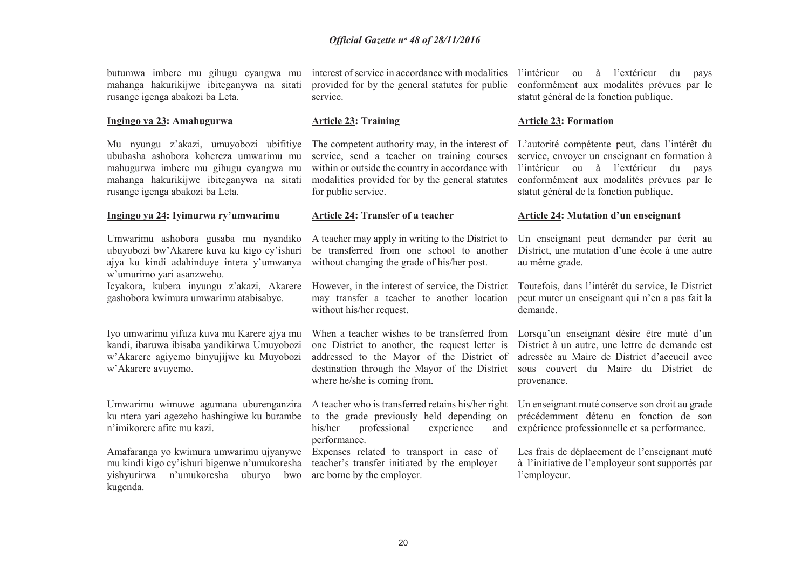butumwa imbere mu gihugu cyangwa mu mahanga hakurikijwe ibiteganywa na sitati rusange igenga abakozi ba Leta.

#### **Ingingo ya 23: Amahugurwa**

Mu nyungu z'akazi, umuyobozi ubifitiye ububasha ashobora kohereza umwarimu mu mahugurwa imbere mu gihugu cyangwa mu mahanga hakurikijwe ibiteganywa na sitati rusange igenga abakozi ba Leta.

#### **Ingingo ya 24: Iyimurwa ry'umwarimu**

Umwarimu ashobora gusaba mu nyandiko ubuyobozi bw'Akarere kuva ku kigo cy'ishuri ajya ku kindi adahinduye intera y'umwanya w'umurimo yari asanzweho.

 Icyakora, kubera inyungu z'akazi, Akarere gashobora kwimura umwarimu atabisabye.

Iyo umwarimu yifuza kuva mu Karere ajya mu kandi, ibaruwa ibisaba yandikirwa Umuyobozi w'Akarere agiyemo binyujijwe ku Muyobozi w'Akarere avuyemo.

Umwarimu wimuwe agumana uburenganzira ku ntera yari agezeho hashingiwe ku burambe n'imikorere afite mu kazi.

Amafaranga yo kwimura umwarimu ujyanywe mu kindi kigo cy'ishuri bigenwe n'umukoresha yishyurirwa n'umukoresha uburyo bwo kugenda.

interest of service in accordance with modalities provided for by the general statutes for public service.

#### **Article 23: Training**

The competent authority may, in the interest of L'autorité compétente peut, dans l'intérêt du service, send a teacher on training courses within or outside the country in accordance with modalities provided for by the general statutes for public service.

#### **Article 24: Transfer of a teacher**

A teacher may apply in writing to the District to be transferred from one school to another without changing the grade of his/her post.

However, in the interest of service, the District may transfer a teacher to another location without his/her request.

 one District to another, the request letter is addressed to the Mayor of the District of destination through the Mayor of the District where he/she is coming from.

A teacher who is transferred retains his/her right Un enseignant muté conserve son droit au grade to the grade previously held depending on his/her professional experience and performance.

 Expenses related to transport in case of teacher's transfer initiated by the employer are borne by the employer.

l'intérieur ou à l'extérieur du pays conformément aux modalités prévues par le statut général de la fonction publique.

#### **Article 23: Formation**

 service, envoyer un enseignant en formation à l'intérieur ou à l'extérieur du pays conformément aux modalités prévues par le statut général de la fonction publique.

#### **Article 24: Mutation d'un enseignant**

Un enseignant peut demander par écrit au District, une mutation d'une école à une autre au même grade.

Toutefois, dans l'intérêt du service, le District peut muter un enseignant qui n'en a pas fait la demande.

When a teacher wishes to be transferred from Lorsqu'un enseignant désire être muté d'un District à un autre, une lettre de demande est adressée au Maire de District d'accueil avec sous couvert du Maire du District de provenance.

> précédemment détenu en fonction de son expérience professionnelle et sa performance.

Les frais de déplacement de l'enseignant muté à l'initiative de l'employeur sont supportés par l'employeur.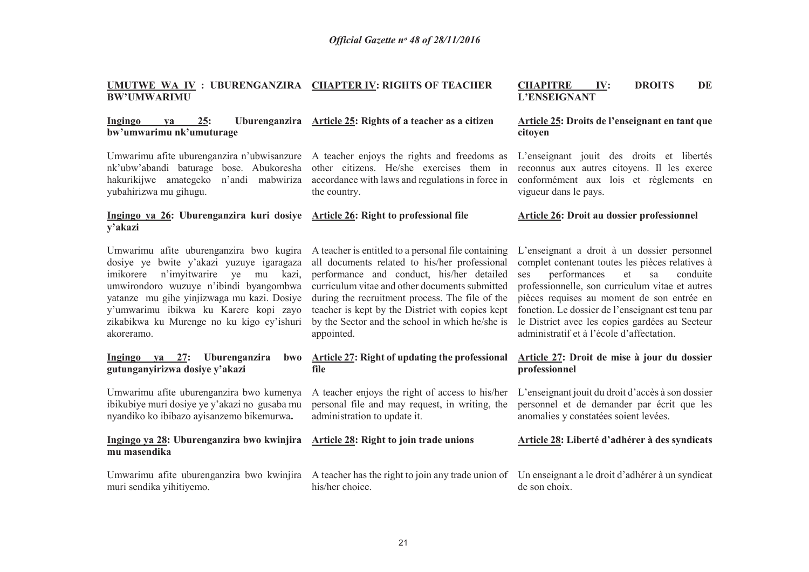#### **UMUTWE WA IV : UBURENGANZIRA CHAPTER IV: RIGHTS OF TEACHER BW'UMWARIMU**

#### **Ingingo ya 25: Uburenganzira Article 25: Rights of a teacher as a citizen bw'umwarimu nk'umuturage**

Umwarimu afite uburenganzira n'ubwisanzure A teacher enjoys the rights and freedoms as hakurikijwe amategeko n'andi mabwiriza yubahirizwa mu gihugu.

 nk'ubw'abandi baturage bose. Abukoresha other citizens. He/she exercises them in accordance with laws and regulations in force in the country.

#### **Ingingo ya 26: Uburenganzira kuri dosiye Article 26: Right to professional file y'akazi**

Umwarimu afite uburenganzira bwo kugira dosiye ye bwite y'akazi yuzuye igaragaza imikorere n'imyitwarire ye mu kazi, umwirondoro wuzuye n'ibindi byangombwa yatanze mu gihe yinjizwaga mu kazi. Dosiye y'umwarimu ibikwa ku Karere kopi zayo zikabikwa ku Murenge no ku kigo cy'ishuri akoreramo.

#### **Ingingo ya 27: Uburenganzira bwo gutunganyirizwa dosiye y'akazi**

Umwarimu afite uburenganzira bwo kumenya ibikubiye muri dosiye ye y'akazi no gusaba mu nyandiko ko ibibazo ayisanzemo bikemurwa**.** 

#### **Ingingo ya 28: Uburenganzira bwo kwinjira mu masendika**

Umwarimu afite uburenganzira bwo kwinjira muri sendika yihitiyemo.

A teacher is entitled to a personal file containing all documents related to his/her professional performance and conduct, his/her detailed curriculum vitae and other documents submitted during the recruitment process. The file of the teacher is kept by the District with copies kept by the Sector and the school in which he/she is appointed.

#### **Article 27: Right of updating the professional file**

A teacher enjoys the right of access to his/her personal file and may request, in writing, the administration to update it.

## **Article 28: Right to join trade unions**

his/her choice.

**Article 26: Droit au dossier professionnel** 

L'enseignant a droit à un dossier personnel complet contenant toutes les pièces relatives à conduite ses performances et sa professionnelle, son curriculum vitae et autres pièces requises au moment de son entrée en fonction. Le dossier de l'enseignant est tenu par le District avec les copies gardées au Secteur administratif et à l'école d'affectation.

**CHAPITRE IV: DROITS DE** 

**Article 25: Droits de l'enseignant en tant que** 

L'enseignant jouit des droits et libertés reconnus aux autres citoyens. Il les exerce conformément aux lois et règlements en

**L'ENSEIGNANT**

vigueur dans le pays.

**citoyen** 

#### **Article 27: Droit de mise à jour du dossier professionnel**

L'enseignant jouit du droit d'accès à son dossier personnel et de demander par écrit que les anomalies y constatées soient levées.

#### **Article 28: Liberté d'adhérer à des syndicats**

A teacher has the right to join any trade union of Un enseignant a le droit d'adhérer à un syndicat de son choix.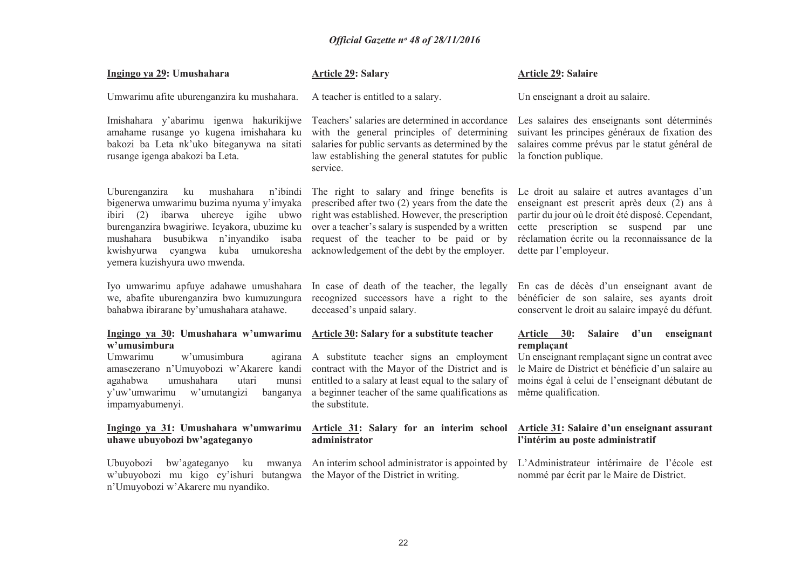| Ingingo ya 29: Umushahara                                                                                                                                                                                                                                                                                | <b>Article 29: Salary</b>                                                                                                                                                                                                                                                                            | Article 29: Salaire                                                                                                                                                                                                                                                    |
|----------------------------------------------------------------------------------------------------------------------------------------------------------------------------------------------------------------------------------------------------------------------------------------------------------|------------------------------------------------------------------------------------------------------------------------------------------------------------------------------------------------------------------------------------------------------------------------------------------------------|------------------------------------------------------------------------------------------------------------------------------------------------------------------------------------------------------------------------------------------------------------------------|
| Umwarimu afite uburenganzira ku mushahara.                                                                                                                                                                                                                                                               | A teacher is entitled to a salary.                                                                                                                                                                                                                                                                   | Un enseignant a droit au salaire.                                                                                                                                                                                                                                      |
| Imishahara y'abarimu igenwa hakurikijwe<br>amahame rusange yo kugena imishahara ku<br>bakozi ba Leta nk'uko biteganywa na sitati<br>rusange igenga abakozi ba Leta.                                                                                                                                      | Teachers' salaries are determined in accordance<br>with the general principles of determining<br>salaries for public servants as determined by the<br>law establishing the general statutes for public<br>service.                                                                                   | Les salaires des enseignants sont déterminés<br>suivant les principes généraux de fixation des<br>salaires comme prévus par le statut général de<br>la fonction publique.                                                                                              |
| mushahara<br>n'ibindi<br>Uburenganzira<br>ku<br>bigenerwa umwarimu buzima nyuma y'imyaka<br>uhereye igihe ubwo<br>ibiri (2) ibarwa<br>burenganzira bwagiriwe. Icyakora, ubuzime ku<br>mushahara busubikwa n'inyandiko<br>isaba<br>kuba umukoresha<br>kwishyurwa cyangwa<br>yemera kuzishyura uwo mwenda. | The right to salary and fringe benefits is<br>prescribed after two $(2)$ years from the date the<br>right was established. However, the prescription<br>over a teacher's salary is suspended by a written<br>request of the teacher to be paid or by<br>acknowledgement of the debt by the employer. | Le droit au salaire et autres avantages d'un<br>enseignant est prescrit après deux (2) ans à<br>partir du jour où le droit été disposé. Cependant,<br>cette prescription se suspend par une<br>réclamation écrite ou la reconnaissance de la<br>dette par l'employeur. |
| Iyo umwarimu apfuye adahawe umushahara<br>we, abafite uburenganzira bwo kumuzungura<br>bahabwa ibirarane by'umushahara atahawe.                                                                                                                                                                          | In case of death of the teacher, the legally<br>recognized successors have a right to the<br>deceased's unpaid salary.                                                                                                                                                                               | En cas de décès d'un enseignant avant de<br>bénéficier de son salaire, ses ayants droit<br>conservent le droit au salaire impayé du défunt.                                                                                                                            |
| Ingingo ya 30: Umushahara w'umwarimu Article 30: Salary for a substitute teacher<br>w'umusimbura<br>Umwarimu<br>w'umusimbura<br>agirana<br>amasezerano n'Umuyobozi w'Akarere kandi<br>umushahara<br>agahabwa<br>utari<br>munsi<br>y'uw'umwarimu<br>w'umutangizi<br>banganya<br>impamyabumenyi.           | A substitute teacher signs an employment<br>contract with the Mayor of the District and is<br>entitled to a salary at least equal to the salary of<br>a beginner teacher of the same qualifications as<br>the substitute.                                                                            | Article 30:<br><b>Salaire</b><br>d'un<br>enseignant<br>remplaçant<br>Un enseignant remplaçant signe un contrat avec<br>le Maire de District et bénéficie d'un salaire au<br>moins égal à celui de l'enseignant débutant de<br>même qualification.                      |
| Ingingo ya 31: Umushahara w'umwarimu<br>uhawe ubuyobozi bw'agateganyo                                                                                                                                                                                                                                    | Article 31: Salary for an interim school<br>administrator                                                                                                                                                                                                                                            | Article 31: Salaire d'un enseignant assurant<br>l'intérim au poste administratif                                                                                                                                                                                       |
| Ubuyobozi<br>bw'agateganyo<br>ku<br>w'ubuyobozi mu kigo cy'ishuri butangwa<br>n'Umuyobozi w'Akarere mu nyandiko.                                                                                                                                                                                         | mwanya An interim school administrator is appointed by<br>the Mayor of the District in writing.                                                                                                                                                                                                      | L'Administrateur intérimaire de l'école est<br>nommé par écrit par le Maire de District.                                                                                                                                                                               |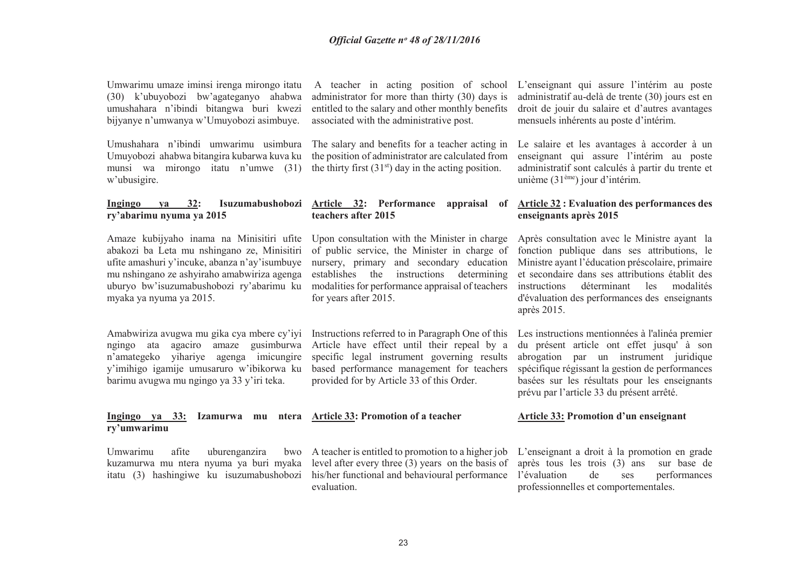Umwarimu umaze iminsi irenga mirongo itatu (30) k'ubuyobozi bw'agateganyo ahabwa umushahara n'ibindi bitangwa buri kwezi bijyanye n'umwanya w'Umuyobozi asimbuye.

Umushahara n'ibindi umwarimu usimbura Umuyobozi ahabwa bitangira kubarwa kuva ku munsi wa mirongo itatu n'umwe (31) w'ubusigire.

**Ingingo ya 32: Isuzumabushobozi Article 32: Performance appraisal of ry'abarimu nyuma ya 2015** 

Amaze kubijyaho inama na Minisitiri ufite abakozi ba Leta mu nshingano ze, Minisitiri ufite amashuri y'incuke, abanza n'ay'isumbuye mu nshingano ze ashyiraho amabwiriza agenga uburyo bw'isuzumabushobozi ry'abarimu ku myaka ya nyuma ya 2015.

Amabwiriza avugwa mu gika cya mbere cy'iyi ngingo ata agaciro amaze gusimburwa n'amategeko yihariye agenga imicungire y'imihigo igamije umusaruro w'ibikorwa ku barimu avugwa mu ngingo ya 33 y'iri teka.

 administrator for more than thirty (30) days is entitled to the salary and other monthly benefits associated with the administrative post.

The salary and benefits for a teacher acting in the position of administrator are calculated from the thirty first  $(31<sup>st</sup>)$  day in the acting position.

## **teachers after 2015**

Upon consultation with the Minister in charge of public service, the Minister in charge of nursery, primary and secondary education establishes the instructions determining modalities for performance appraisal of teachers for years after 2015.

Instructions referred to in Paragraph One of this Article have effect until their repeal by a specific legal instrument governing results based performance management for teachers provided for by Article 33 of this Order.

 A teacher in acting position of school L'enseignant qui assure l'intérim au poste administratif au-delà de trente (30) jours est en droit de jouir du salaire et d'autres avantages mensuels inhérents au poste d'intérim.

> Le salaire et les avantages à accorder à un enseignant qui assure l'intérim au poste administratif sont calculés à partir du trente et unième (31ème) jour d'intérim.

#### **Article 32 : Evaluation des performances des enseignants après 2015**

Après consultation avec le Ministre ayant la fonction publique dans ses attributions, le Ministre ayant l'éducation préscolaire, primaire et secondaire dans ses attributions établit des instructions déterminant les modalités d'évaluation des performances des enseignants après 2015.

Les instructions mentionnées à l'alinéa premier du présent article ont effet jusqu' à son abrogation par un instrument juridique spécifique régissant la gestion de performances basées sur les résultats pour les enseignants prévu par l'article 33 du présent arrêté.

#### **Ingingo ya 33: Izamurwa mu ntera Article 33: Promotion of a teacher Article 33: Promotion d'un enseignant**

Umwarimu afite uburenganzira

**ry'umwarimu**

 kuzamurwa mu ntera nyuma ya buri myaka level after every three (3) years on the basis of itatu (3) hashingiwe ku isuzumabushobozi his/her functional and behavioural performance evaluation.

A teacher is entitled to promotion to a higher job L'enseignant a droit à la promotion en grade après tous les trois (3) ans sur base de l'évaluation de ses performances professionnelles et comportementales.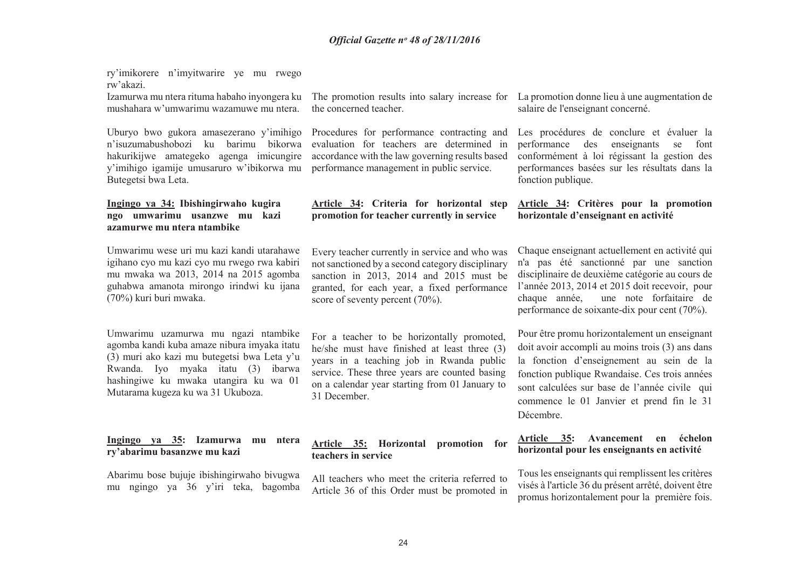| ry'imikorere n'imyitwarire ye mu rwego<br>rw'akazi.<br>Izamurwa mu ntera rituma habaho inyongera ku<br>mushahara w'umwarimu wazamuwe mu ntera.                                                                                                        | The promotion results into salary increase for<br>the concerned teacher.                                                                                                                                                                                  | La promotion donne lieu à une augmentation de<br>salaire de l'enseignant concerné.                                                                                                                                                                                                                       |
|-------------------------------------------------------------------------------------------------------------------------------------------------------------------------------------------------------------------------------------------------------|-----------------------------------------------------------------------------------------------------------------------------------------------------------------------------------------------------------------------------------------------------------|----------------------------------------------------------------------------------------------------------------------------------------------------------------------------------------------------------------------------------------------------------------------------------------------------------|
| Uburyo bwo gukora amasezerano y'imihigo<br>n'isuzumabushobozi<br>barimu<br>bikorwa<br>ku<br>hakurikijwe amategeko agenga imicungire<br>y'imihigo igamije umusaruro w'ibikorwa mu<br>Butegetsi bwa Leta.                                               | Procedures for performance contracting and<br>evaluation for teachers are determined in<br>accordance with the law governing results based<br>performance management in public service.                                                                   | Les procédures de conclure et évaluer la<br>performance<br>enseignants<br>des<br>se<br>font<br>conformément à loi régissant la gestion des<br>performances basées sur les résultats dans la<br>fonction publique.                                                                                        |
| Ingingo ya 34: Ibishingirwaho kugira<br>ngo umwarimu usanzwe mu kazi<br>azamurwe mu ntera ntambike                                                                                                                                                    | Article 34: Criteria for horizontal step<br>promotion for teacher currently in service                                                                                                                                                                    | Article 34: Critères pour la promotion<br>horizontale d'enseignant en activité                                                                                                                                                                                                                           |
| Umwarimu wese uri mu kazi kandi utarahawe<br>igihano cyo mu kazi cyo mu rwego rwa kabiri<br>mu mwaka wa 2013, 2014 na 2015 agomba<br>guhabwa amanota mirongo irindwi ku ijana<br>(70%) kuri buri mwaka.                                               | Every teacher currently in service and who was<br>not sanctioned by a second category disciplinary<br>sanction in 2013, 2014 and 2015 must be<br>granted, for each year, a fixed performance<br>score of seventy percent (70%).                           | Chaque enseignant actuellement en activité qui<br>n'a pas été sanctionné par une sanction<br>disciplinaire de deuxième catégorie au cours de<br>l'année 2013, 2014 et 2015 doit recevoir, pour<br>chaque année,<br>une note forfaitaire de<br>performance de soixante-dix pour cent (70%).               |
| Umwarimu uzamurwa mu ngazi ntambike<br>agomba kandi kuba amaze nibura imyaka itatu<br>(3) muri ako kazi mu butegetsi bwa Leta y'u<br>Rwanda. Iyo myaka itatu (3) ibarwa<br>hashingiwe ku mwaka utangira ku wa 01<br>Mutarama kugeza ku wa 31 Ukuboza. | For a teacher to be horizontally promoted,<br>he/she must have finished at least three (3)<br>years in a teaching job in Rwanda public<br>service. These three years are counted basing<br>on a calendar year starting from 01 January to<br>31 December. | Pour être promu horizontalement un enseignant<br>doit avoir accompli au moins trois (3) ans dans<br>la fonction d'enseignement au sein de la<br>fonction publique Rwandaise. Ces trois années<br>sont calculées sur base de l'année civile qui<br>commence le 01 Janvier et prend fin le 31<br>Décembre. |
| Ingingo ya 35: Izamurwa<br>mu ntera<br>ry'abarimu basanzwe mu kazi                                                                                                                                                                                    | Article 35: Horizontal<br>promotion for<br>teachers in service                                                                                                                                                                                            | Article 35:<br>Avancement<br>échelon<br>en<br>horizontal pour les enseignants en activité                                                                                                                                                                                                                |
| Abarimu bose bujuje ibishingirwaho bivugwa<br>mu ngingo ya 36 y'iri teka, bagomba                                                                                                                                                                     | All teachers who meet the criteria referred to<br>Article 36 of this Order must be promoted in                                                                                                                                                            | Tous les enseignants qui remplissent les critères<br>visés à l'article 36 du présent arrêté, doivent être<br>promus horizontalement pour la première fois.                                                                                                                                               |
|                                                                                                                                                                                                                                                       |                                                                                                                                                                                                                                                           |                                                                                                                                                                                                                                                                                                          |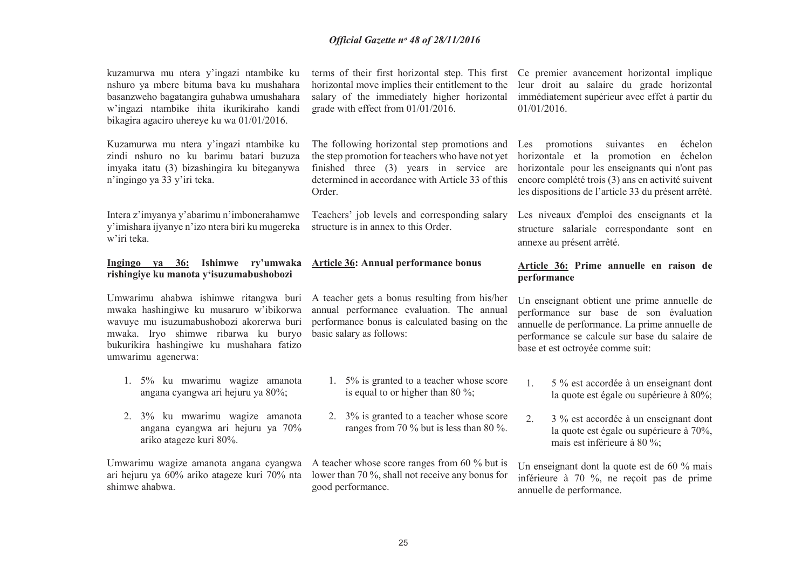| kuzamurwa mu ntera y'ingazi ntambike ku<br>nshuro ya mbere bituma bava ku mushahara<br>basanzweho bagatangira guhabwa umushahara<br>w'ingazi ntambike ihita ikurikiraho kandi<br>bikagira agaciro uhereye ku wa 01/01/2016. | terms of their first horizontal step. This first Ce premier avancement horizontal implique<br>horizontal move implies their entitlement to the<br>salary of the immediately higher horizontal<br>grade with effect from 01/01/2016. | leur droit au salaire du grade horizontal<br>immédiatement supérieur avec effet à partir du<br>01/01/2016.                                                                                                                                           |
|-----------------------------------------------------------------------------------------------------------------------------------------------------------------------------------------------------------------------------|-------------------------------------------------------------------------------------------------------------------------------------------------------------------------------------------------------------------------------------|------------------------------------------------------------------------------------------------------------------------------------------------------------------------------------------------------------------------------------------------------|
| Kuzamurwa mu ntera y'ingazi ntambike ku<br>zindi nshuro no ku barimu batari buzuza<br>imyaka itatu (3) bizashingira ku biteganywa<br>n'ingingo ya 33 y'iri teka.                                                            | The following horizontal step promotions and<br>the step promotion for teachers who have not yet<br>finished three (3) years in service are<br>determined in accordance with Article 33 of this<br>Order.                           | Les promotions<br>suivantes<br>échelon<br>en<br>horizontale et la promotion en échelon<br>horizontale pour les enseignants qui n'ont pas<br>encore complété trois (3) ans en activité suivent<br>les dispositions de l'article 33 du présent arrêté. |
| Intera z'imyanya y'abarimu n'imbonerahamwe<br>y'imishara ijyanye n'izo ntera biri ku mugereka<br>w'iri teka.                                                                                                                | Teachers' job levels and corresponding salary<br>structure is in annex to this Order.                                                                                                                                               | Les niveaux d'emploi des enseignants et la<br>structure salariale correspondante sont en<br>annexe au présent arrêté.                                                                                                                                |
| 36: Ishimwe ry'umwaka<br>Ingingo ya<br>rishingiye ku manota y'isuzumabushobozi                                                                                                                                              | <b>Article 36: Annual performance bonus</b>                                                                                                                                                                                         | Article 36: Prime annuelle en raison de<br>performance                                                                                                                                                                                               |
| mwaka hashingiwe ku musaruro w'ibikorwa<br>wavuye mu isuzumabushobozi akorerwa buri<br>mwaka. Iryo shimwe ribarwa ku buryo<br>bukurikira hashingiwe ku mushahara fatizo                                                     | Umwarimu ahabwa ishimwe ritangwa buri A teacher gets a bonus resulting from his/her<br>annual performance evaluation. The annual<br>performance bonus is calculated basing on the<br>basic salary as follows:                       | Un enseignant obtient une prime annuelle de<br>performance sur base de son évaluation<br>annuelle de performance. La prime annuelle de<br>performance se calcule sur base du salaire de                                                              |
| umwarimu agenerwa:                                                                                                                                                                                                          |                                                                                                                                                                                                                                     | base et est octroyée comme suit:                                                                                                                                                                                                                     |
| 1. 5% ku mwarimu wagize amanota<br>angana cyangwa ari hejuru ya 80%;                                                                                                                                                        | 5% is granted to a teacher whose score<br>1.<br>is equal to or higher than 80 %;                                                                                                                                                    | 5 % est accordée à un enseignant dont<br>1.<br>la quote est égale ou supérieure à 80%;                                                                                                                                                               |
| 3% ku mwarimu wagize amanota<br>2.<br>angana cyangwa ari hejuru ya 70%<br>ariko atageze kuri 80%.                                                                                                                           | 2. 3% is granted to a teacher whose score<br>ranges from 70 % but is less than 80 %.                                                                                                                                                | 2.<br>3 % est accordée à un enseignant dont<br>la quote est égale ou supérieure à 70%,<br>mais est inférieure à 80 %;                                                                                                                                |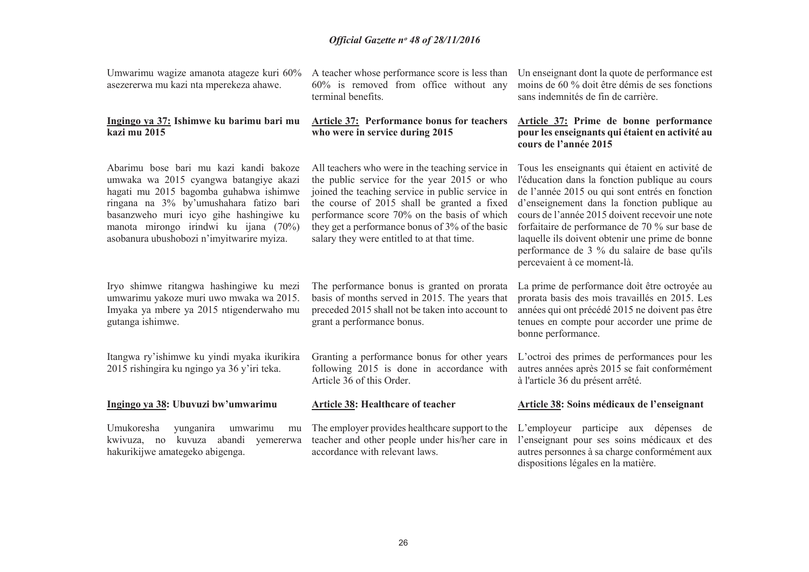Umwarimu wagize amanota atageze kuri 60% asezererwa mu kazi nta mperekeza ahawe.

#### **Ingingo ya 37: Ishimwe ku barimu bari mu kazi mu 2015**

Abarimu bose bari mu kazi kandi bakoze umwaka wa 2015 cyangwa batangiye akazi hagati mu 2015 bagomba guhabwa ishimwe ringana na 3% by'umushahara fatizo bari basanzweho muri icyo gihe hashingiwe ku manota mirongo irindwi ku ijana (70%) asobanura ubushobozi n'imyitwarire myiza.

Iryo shimwe ritangwa hashingiwe ku mezi umwarimu yakoze muri uwo mwaka wa 2015. Imyaka ya mbere ya 2015 ntigenderwaho mu gutanga ishimwe.

Itangwa ry'ishimwe ku yindi myaka ikurikira 2015 rishingira ku ngingo ya 36 y'iri teka.

#### **Ingingo ya 38: Ubuvuzi bw'umwarimu**

Umukoresha yunganira umwarimu mu kwivuza, no kuvuza abandi yemererwa hakurikijwe amategeko abigenga.

A teacher whose performance score is less than Un enseignant dont la quote de performance est 60% is removed from office without any terminal benefits.

#### **Article 37: Performance bonus for teachers who were in service during 2015**

All teachers who were in the teaching service in the public service for the year 2015 or who joined the teaching service in public service in the course of 2015 shall be granted a fixed performance score 70% on the basis of which they get a performance bonus of 3% of the basic

The performance bonus is granted on prorata basis of months served in 2015. The years that preceded 2015 shall not be taken into account to

Granting a performance bonus for other years following 2015 is done in accordance with

The employer provides healthcare support to the teacher and other people under his/her care in

salary they were entitled to at that time.

grant a performance bonus.

Article 36 of this Order.

**Article 38: Healthcare of teacher** 

accordance with relevant laws.

 moins de 60 % doit être démis de ses fonctions sans indemnités de fin de carrière.

#### **Article 37: Prime de bonne performance pour les enseignants qui étaient en activité au cours de l'année 2015**

Tous les enseignants qui étaient en activité de l'éducation dans la fonction publique au cours de l'année 2015 ou qui sont entrés en fonction d'enseignement dans la fonction publique au cours de l'année 2015 doivent recevoir une note forfaitaire de performance de 70 % sur base de laquelle ils doivent obtenir une prime de bonne performance de 3 % du salaire de base qu'ils percevaient à ce moment-là.

La prime de performance doit être octroyée au prorata basis des mois travaillés en 2015. Les années qui ont précédé 2015 ne doivent pas être tenues en compte pour accorder une prime de bonne performance.

L'octroi des primes de performances pour les autres années après 2015 se fait conformément à l'article 36 du présent arrêté.

#### **Article 38: Soins médicaux de l'enseignant**

L'employeur participe aux dépenses de l'enseignant pour ses soins médicaux et des autres personnes à sa charge conformément aux dispositions légales en la matière.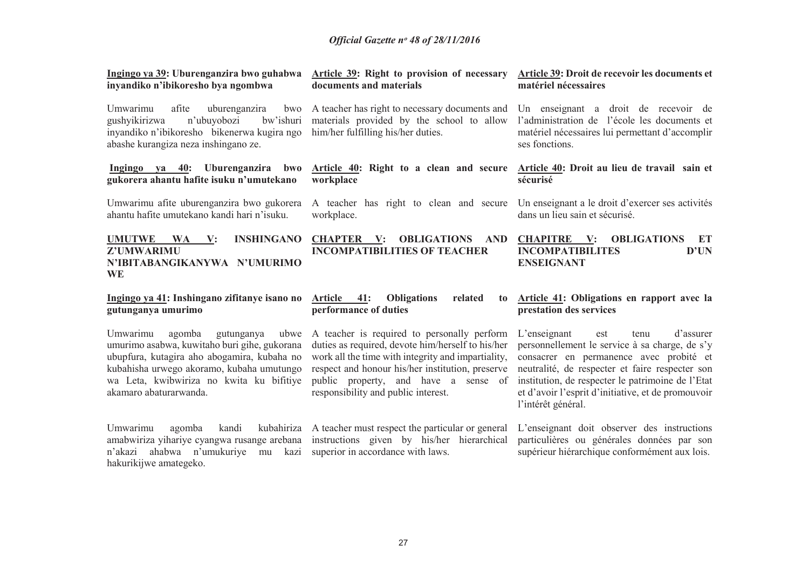| Ingingo ya 39: Uburenganzira bwo guhabwa<br>inyandiko n'ibikoresho bya ngombwa                                                                                                                                                                             | Article 39: Right to provision of necessary<br>documents and materials                                                                                                                                                                                                                    | Article 39: Droit de recevoir les documents et<br>matériel nécessaires                                                                                                                                                                                                                                                       |
|------------------------------------------------------------------------------------------------------------------------------------------------------------------------------------------------------------------------------------------------------------|-------------------------------------------------------------------------------------------------------------------------------------------------------------------------------------------------------------------------------------------------------------------------------------------|------------------------------------------------------------------------------------------------------------------------------------------------------------------------------------------------------------------------------------------------------------------------------------------------------------------------------|
| Umwarimu<br>afite<br>uburenganzira<br>bwo<br>bw'ishuri<br>n'ubuyobozi<br>gushyikirizwa<br>inyandiko n'ibikoresho bikenerwa kugira ngo<br>abashe kurangiza neza inshingano ze.                                                                              | A teacher has right to necessary documents and<br>materials provided by the school to allow<br>him/her fulfilling his/her duties.                                                                                                                                                         | Un enseignant a droit de recevoir de<br>l'administration de l'école les documents et<br>matériel nécessaires lui permettant d'accomplir<br>ses fonctions.                                                                                                                                                                    |
| Ingingo ya 40: Uburenganzira<br>bwo<br>gukorera ahantu hafite isuku n'umutekano                                                                                                                                                                            | Article 40: Right to a clean and secure Article 40: Droit au lieu de travail sain et<br>workplace                                                                                                                                                                                         | sécurisé                                                                                                                                                                                                                                                                                                                     |
| Umwarimu afite uburenganzira bwo gukorera<br>ahantu hafite umutekano kandi hari n'isuku.                                                                                                                                                                   | A teacher has right to clean and secure<br>workplace.                                                                                                                                                                                                                                     | Un enseignant a le droit d'exercer ses activités<br>dans un lieu sain et sécurisé.                                                                                                                                                                                                                                           |
| <b>UMUTWE</b><br><b>INSHINGANO</b><br>WA V:<br>Z'UMWARIMU<br>N'IBITABANGIKANYWA N'UMURIMO                                                                                                                                                                  | <b>CHAPTER</b> V:<br><b>OBLIGATIONS</b><br><b>AND</b><br><b>INCOMPATIBILITIES OF TEACHER</b>                                                                                                                                                                                              | <b>CHAPITRE</b><br><b>OBLIGATIONS</b><br>$\mathbf{V}$ :<br>ET<br><b>INCOMPATIBILITES</b><br>D'UN<br><b>ENSEIGNANT</b>                                                                                                                                                                                                        |
| <b>WE</b>                                                                                                                                                                                                                                                  |                                                                                                                                                                                                                                                                                           |                                                                                                                                                                                                                                                                                                                              |
| Ingingo ya 41: Inshingano zifitanye isano no<br>gutunganya umurimo                                                                                                                                                                                         | 41:<br>Article<br><b>Obligations</b><br>related<br>to<br>performance of duties                                                                                                                                                                                                            | Article 41: Obligations en rapport avec la<br>prestation des services                                                                                                                                                                                                                                                        |
| Umwarimu<br>agomba<br>gutunganya<br>ubwe<br>umurimo asabwa, kuwitaho buri gihe, gukorana<br>ubupfura, kutagira aho abogamira, kubaha no<br>kubahisha urwego akoramo, kubaha umutungo<br>wa Leta, kwibwiriza no kwita ku bifitiye<br>akamaro abaturarwanda. | A teacher is required to personally perform<br>duties as required, devote him/herself to his/her<br>work all the time with integrity and impartiality,<br>respect and honour his/her institution, preserve<br>public property, and have a sense of<br>responsibility and public interest. | $L$ 'enseignant<br>d'assurer<br>est<br>tenu<br>personnellement le service à sa charge, de s'y<br>consacrer en permanence avec probité et<br>neutralité, de respecter et faire respecter son<br>institution, de respecter le patrimoine de l'Etat<br>et d'avoir l'esprit d'initiative, et de promouvoir<br>l'intérêt général. |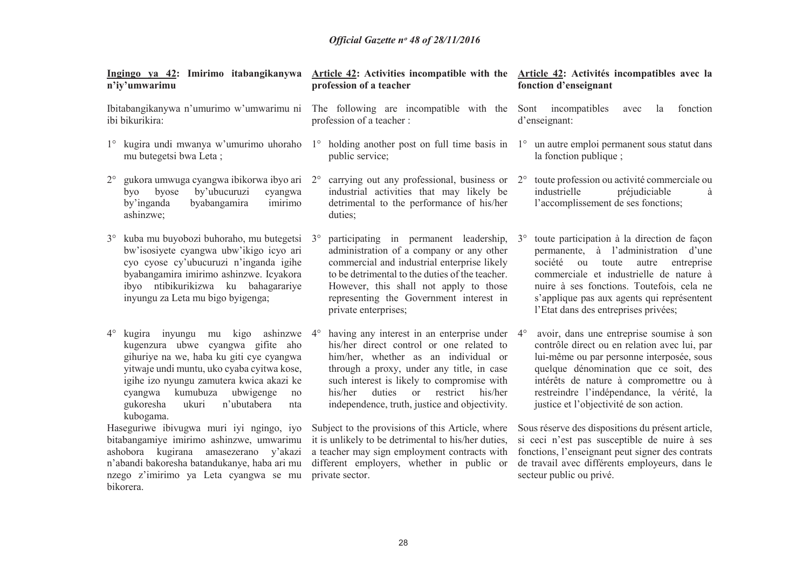| Ingingo ya 42: Imirimo itabangikanywa<br>n'iy'umwarimu                                                                                                                                                                                                                                                                             | Article 42: Activities incompatible with the<br>profession of a teacher                                                                                                                                                                                                                                                                      | Article 42: Activités incompatibles avec la<br>fonction d'enseignant                                                                                                                                                                                                                                                              |
|------------------------------------------------------------------------------------------------------------------------------------------------------------------------------------------------------------------------------------------------------------------------------------------------------------------------------------|----------------------------------------------------------------------------------------------------------------------------------------------------------------------------------------------------------------------------------------------------------------------------------------------------------------------------------------------|-----------------------------------------------------------------------------------------------------------------------------------------------------------------------------------------------------------------------------------------------------------------------------------------------------------------------------------|
| Ibitabangikanywa n'umurimo w'umwarimu ni<br>ibi bikurikira:                                                                                                                                                                                                                                                                        | The following are incompatible with the<br>profession of a teacher :                                                                                                                                                                                                                                                                         | incompatibles<br>fonction<br>Sont<br>avec<br><i>la</i><br>d'enseignant:                                                                                                                                                                                                                                                           |
| $1^{\circ}$<br>mu butegetsi bwa Leta;                                                                                                                                                                                                                                                                                              | kugira undi mwanya w'umurimo uhoraho 1° holding another post on full time basis in 1° un autre emploi permanent sous statut dans<br>public service;                                                                                                                                                                                          | la fonction publique;                                                                                                                                                                                                                                                                                                             |
| gukora umwuga cyangwa ibikorwa ibyo ari 2°<br>$2^{\circ}$<br>by'ubucuruzi<br>byose<br>byo<br>cyangwa<br>by'inganda<br>byabangamira<br>imirimo<br>ashinzwe;                                                                                                                                                                         | carrying out any professional, business or 2°<br>industrial activities that may likely be<br>detrimental to the performance of his/her<br>duties;                                                                                                                                                                                            | toute profession ou activité commerciale ou<br>préjudiciable<br>industrielle<br>à<br>l'accomplissement de ses fonctions;                                                                                                                                                                                                          |
| kuba mu buyobozi buhoraho, mu butegetsi<br>bw'isosiyete cyangwa ubw'ikigo icyo ari<br>cyo cyose cy'ubucuruzi n'inganda igihe<br>byabangamira imirimo ashinzwe. Icyakora<br>ibyo ntibikurikizwa ku bahagarariye<br>inyungu za Leta mu bigo byigenga;                                                                                | participating in permanent leadership,<br>$3^{\circ}$<br>administration of a company or any other<br>commercial and industrial enterprise likely<br>to be detrimental to the duties of the teacher.<br>However, this shall not apply to those<br>representing the Government interest in<br>private enterprises;                             | toute participation à la direction de façon<br>$3^{\circ}$<br>permanente, à l'administration d'une<br>société<br>toute<br>ou<br>autre<br>entreprise<br>commerciale et industrielle de nature à<br>nuire à ses fonctions. Toutefois, cela ne<br>s'applique pas aux agents qui représentent<br>l'Etat dans des entreprises privées; |
| $4^{\circ}$<br>kugira inyungu<br>kigo ashinzwe<br>mu<br>kugenzura ubwe cyangwa gifite aho<br>gihuriye na we, haba ku giti cye cyangwa<br>yitwaje undi muntu, uko cyaba cyitwa kose,<br>igihe izo nyungu zamutera kwica akazi ke<br>kumubuza<br>ubwigenge<br>cyangwa<br>no<br>gukoresha<br>n'ubutabera<br>ukuri<br>nta<br>kubogama. | having any interest in an enterprise under 4°<br>$4^\circ$<br>his/her direct control or one related to<br>him/her, whether as an individual or<br>through a proxy, under any title, in case<br>such interest is likely to compromise with<br>duties<br>restrict<br>his/her<br>his/her<br>or<br>independence, truth, justice and objectivity. | avoir, dans une entreprise soumise à son<br>contrôle direct ou en relation avec lui, par<br>lui-même ou par personne interposée, sous<br>quelque dénomination que ce soit, des<br>intérêts de nature à compromettre ou à<br>restreindre l'indépendance, la vérité, la<br>justice et l'objectivité de son action.                  |
| Haseguriwe ibivugwa muri iyi ngingo, iyo<br>bitabangamiye imirimo ashinzwe, umwarimu<br>ashobora kugirana amasezerano y'akazi<br>n'abandi bakoresha batandukanye, haba ari mu<br>nzego z'imirimo ya Leta cyangwa se mu<br>bikorera.                                                                                                | Subject to the provisions of this Article, where<br>it is unlikely to be detrimental to his/her duties,<br>a teacher may sign employment contracts with<br>different employers, whether in public or<br>private sector.                                                                                                                      | Sous réserve des dispositions du présent article,<br>si ceci n'est pas susceptible de nuire à ses<br>fonctions, l'enseignant peut signer des contrats<br>de travail avec différents employeurs, dans le<br>secteur public ou privé.                                                                                               |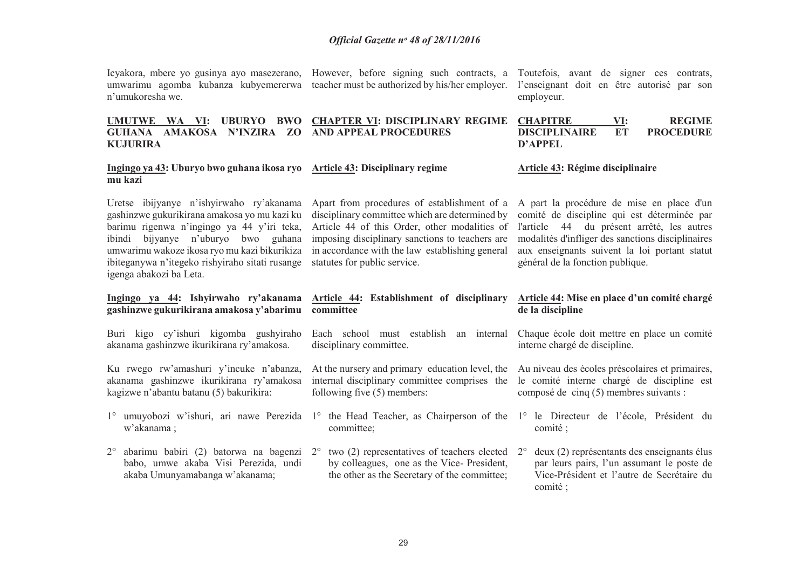| n'umukoresha we.                                                                                                                                                                                                                                                                                            | Icyakora, mbere yo gusinya ayo masezerano, However, before signing such contracts, a<br>umwarimu agomba kubanza kubyemererwa teacher must be authorized by his/her employer.                                                                                                         | Toutefois, avant de signer ces contrats,<br>l'enseignant doit en être autorisé par son<br>employeur.                                                                                                                                                                             |
|-------------------------------------------------------------------------------------------------------------------------------------------------------------------------------------------------------------------------------------------------------------------------------------------------------------|--------------------------------------------------------------------------------------------------------------------------------------------------------------------------------------------------------------------------------------------------------------------------------------|----------------------------------------------------------------------------------------------------------------------------------------------------------------------------------------------------------------------------------------------------------------------------------|
| UMUTWE WA VI: UBURYO BWO<br>GUHANA AMAKOSA N'INZIRA ZO<br><b>KUJURIRA</b>                                                                                                                                                                                                                                   | <b>CHAPTER VI: DISCIPLINARY REGIME</b><br><b>AND APPEAL PROCEDURES</b>                                                                                                                                                                                                               | <b>REGIME</b><br><b>CHAPITRE</b><br>VI:<br><b>DISCIPLINAIRE</b><br><b>ET</b><br><b>PROCEDURE</b><br><b>D'APPEL</b>                                                                                                                                                               |
| Ingingo ya 43: Uburyo bwo guhana ikosa ryo Article 43: Disciplinary regime<br>mu kazi                                                                                                                                                                                                                       |                                                                                                                                                                                                                                                                                      | Article 43: Régime disciplinaire                                                                                                                                                                                                                                                 |
| Uretse ibijyanye n'ishyirwaho ry'akanama<br>gashinzwe gukurikirana amakosa yo mu kazi ku<br>barimu rigenwa n'ingingo ya 44 y'iri teka,<br>ibindi bijyanye n'uburyo bwo guhana<br>umwarimu wakoze ikosa ryo mu kazi bikurikiza<br>ibiteganywa n'itegeko rishyiraho sitati rusange<br>igenga abakozi ba Leta. | Apart from procedures of establishment of a<br>disciplinary committee which are determined by<br>Article 44 of this Order, other modalities of<br>imposing disciplinary sanctions to teachers are<br>in accordance with the law establishing general<br>statutes for public service. | A part la procédure de mise en place d'un<br>comité de discipline qui est déterminée par<br>l'article 44 du présent arrêté, les autres<br>modalités d'infliger des sanctions disciplinaires<br>aux enseignants suivent la loi portant statut<br>général de la fonction publique. |
|                                                                                                                                                                                                                                                                                                             |                                                                                                                                                                                                                                                                                      |                                                                                                                                                                                                                                                                                  |
| Ingingo ya 44: Ishyirwaho ry'akanama<br>gashinzwe gukurikirana amakosa y'abarimu                                                                                                                                                                                                                            | Article 44: Establishment of disciplinary<br>committee                                                                                                                                                                                                                               | Article 44: Mise en place d'un comité chargé<br>de la discipline                                                                                                                                                                                                                 |
| Buri kigo cy'ishuri kigomba gushyiraho<br>akanama gashinzwe ikurikirana ry'amakosa.                                                                                                                                                                                                                         | Each school must establish<br>an internal<br>disciplinary committee.                                                                                                                                                                                                                 | Chaque école doit mettre en place un comité<br>interne chargé de discipline.                                                                                                                                                                                                     |
| Ku rwego rw'amashuri y'incuke n'abanza,<br>akanama gashinzwe ikurikirana ry'amakosa<br>kagizwe n'abantu batanu (5) bakurikira:                                                                                                                                                                              | At the nursery and primary education level, the<br>internal disciplinary committee comprises the<br>following five $(5)$ members:                                                                                                                                                    | Au niveau des écoles préscolaires et primaires,<br>le comité interne chargé de discipline est<br>composé de cinq (5) membres suivants :                                                                                                                                          |
| w'akanama;                                                                                                                                                                                                                                                                                                  | 1° umuyobozi w'ishuri, ari nawe Perezida 1° the Head Teacher, as Chairperson of the 1° le Directeur de l'école, Président du<br>committee;                                                                                                                                           | comité;                                                                                                                                                                                                                                                                          |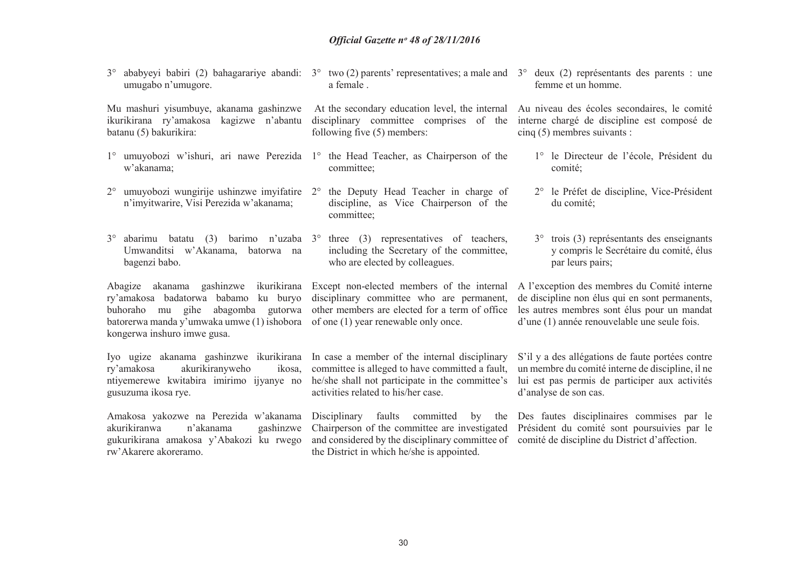3° abarimu batatu (3) barimo n'uzaba 3° three (3) representatives of teachers, Umwanditsi w'Akanama, batorwa na bagenzi babo. Abagize akanama gashinzwe ikurikirana Except non-elected members of the internal A l'exception des membres du Comité interne ry'amakosa badatorwa babamo ku buryo disciplinary committee who are permanent, buhoraho mu gihe abagomba gutorwa other members are elected for a term of office batorerwa manda y'umwaka umwe (1) ishobora of one (1) year renewable only once. kongerwa inshuro imwe gusa. Iyo ugize akanama gashinzwe ikurikirana In case a member of the internal disciplinary ikosa. ry'amakosa akurikiranyweho ntiyemerewe kwitabira imirimo ijyanye no he/she shall not participate in the committee's gusuzuma ikosa rye. Amakosa yakozwe na Perezida w'akanama akurikiranwa n'akanama gashinzwe gukurikirana amakosa y'Abakozi ku rwego rw'Akarere akoreramo.committee; including the Secretary of the committee, who are elected by colleagues. committee is alleged to have committed a fault, activities related to his/her case. Disciplinary faults committed by the Des fautes disciplinaires commises par le Chairperson of the committee are investigated Président du comité sont poursuivies par le and considered by the disciplinary committee of comité de discipline du District d'affection. the District in which he/she is appointed. 3° trois (3) représentants des enseignants y compris le Secrétaire du comité, élus par leurs pairs; de discipline non élus qui en sont permanents, les autres membres sont élus pour un mandat d'une (1) année renouvelable une seule fois. S'il y a des allégations de faute portées contre un membre du comité interne de discipline, il ne lui est pas permis de participer aux activités d'analyse de son cas.

3° ababyeyi babiri (2) bahagarariye abandi: 3° two (2) parents' representatives; a male and 3° deux (2) représentants des parents : une umugabo n'umugore.a female . femme et un homme.

Mu mashuri yisumbuye, akanama gashinzwe ikurikirana ry'amakosa kagizwe n'abantu batanu (5) bakurikira:

- w'akanama;
- n'imyitwarire, Visi Perezida w'akanama;

 At the secondary education level, the internal disciplinary committee comprises of the following five (5) members:

- 1° umuyobozi w'ishuri, ari nawe Perezida 1° the Head Teacher, as Chairperson of the committee;
- 2° umuyobozi wungirije ushinzwe imyifatire 2° the Deputy Head Teacher in charge of discipline, as Vice Chairperson of the

Au niveau des écoles secondaires, le comité interne chargé de discipline est composé de cinq (5) membres suivants :

- 1° le Directeur de l'école, Président du comité;
- 2° le Préfet de discipline, Vice-Président du comité;

30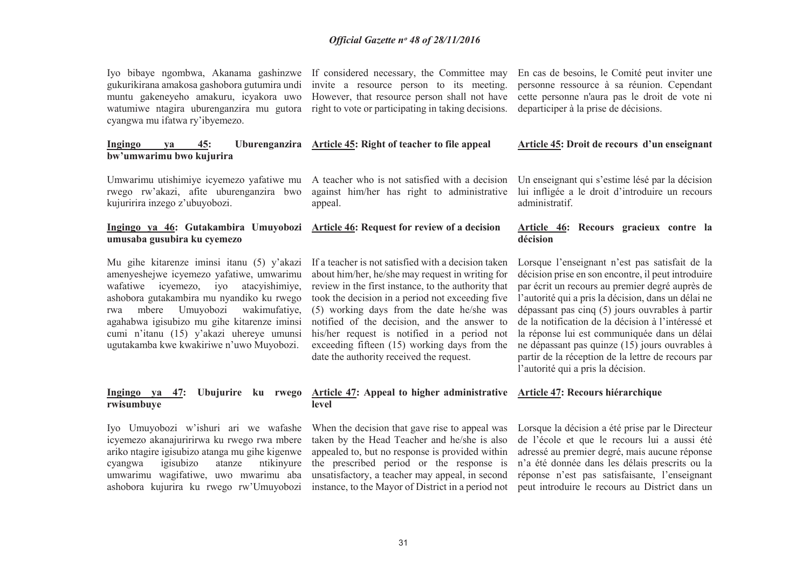Iyo bibaye ngombwa, Akanama gashinzwe If considered necessary, the Committee may gukurikirana amakosa gashobora gutumira undi muntu gakeneyeho amakuru, icyakora uwo watumiwe ntagira uburenganzira mu gutora right to vote or participating in taking decisions. cyangwa mu ifatwa ry'ibyemezo.

 invite a resource person to its meeting. However, that resource person shall not have

#### En cas de besoins, le Comité peut inviter une personne ressource à sa réunion. Cependant cette personne n'aura pas le droit de vote ni departiciper à la prise de décisions.

#### **Ingingo ya 45: Uburenganzira Article 45: Right of teacher to file appeal Article 45: Droit de recours d'un enseignant**

Umwarimu utishimiye icyemezo yafatiwe mu A teacher who is not satisfied with a decision rwego rw'akazi, afite uburenganzira bwo kujuririra inzego z'ubuyobozi.

**bw'umwarimu bwo kujurira** 

#### **Ingingo ya 46: Gutakambira Umuyobozi umusaba gusubira ku cyemezo**

Mu gihe kitarenze iminsi itanu (5) y'akazi amenyeshejwe icyemezo yafatiwe, umwarimu wafatiwe icyemezo, iyo atacyishimiye, ashobora gutakambira mu nyandiko ku rwego rwa mbere Umuyobozi wakimufatiye, agahabwa igisubizo mu gihe kitarenze iminsi cumi n'itanu (15) y'akazi uhereye umunsi ugutakamba kwe kwakiriwe n'uwo Muyobozi.

## **Ingingo ya 47: Ubujurire ku rwego rwisumbuye**

Iyo Umuyobozi w'ishuri ari we wafashe icyemezo akanajuririrwa ku rwego rwa mbere ariko ntagire igisubizo atanga mu gihe kigenwe cyangwa igisubizo atanze ntikinyure umwarimu wagifatiwe, uwo mwarimu aba ashobora kujurira ku rwego rw'Umuyobozi

 against him/her has right to administrative appeal.

#### **Article 46: Request for review of a decision**

If a teacher is not satisfied with a decision taken about him/her, he/she may request in writing for review in the first instance, to the authority that took the decision in a period not exceeding five (5) working days from the date he/she was notified of the decision, and the answer to his/her request is notified in a period not exceeding fifteen (15) working days from the date the authority received the request.

Un enseignant qui s'estime lésé par la décision lui infligée a le droit d'introduire un recours administratif.

#### **Article 46: Recours gracieux contre la décision**

Lorsque l'enseignant n'est pas satisfait de la décision prise en son encontre, il peut introduire par écrit un recours au premier degré auprès de l'autorité qui a pris la décision, dans un délai ne dépassant pas cinq (5) jours ouvrables à partir de la notification de la décision à l'intéressé et la réponse lui est communiquée dans un délai ne dépassant pas quinze (15) jours ouvrables à partir de la réception de la lettre de recours par l'autorité qui a pris la décision.

#### **Article 47: Appeal to higher administrative Article 47: Recours hiérarchique**

When the decision that gave rise to appeal was taken by the Head Teacher and he/she is also appealed to, but no response is provided within the prescribed period or the response is unsatisfactory, a teacher may appeal, in second instance, to the Mayor of District in a period not

**level** 

Lorsque la décision a été prise par le Directeur de l'école et que le recours lui a aussi été adressé au premier degré, mais aucune réponse n'a été donnée dans les délais prescrits ou la réponse n'est pas satisfaisante, l'enseignant peut introduire le recours au District dans un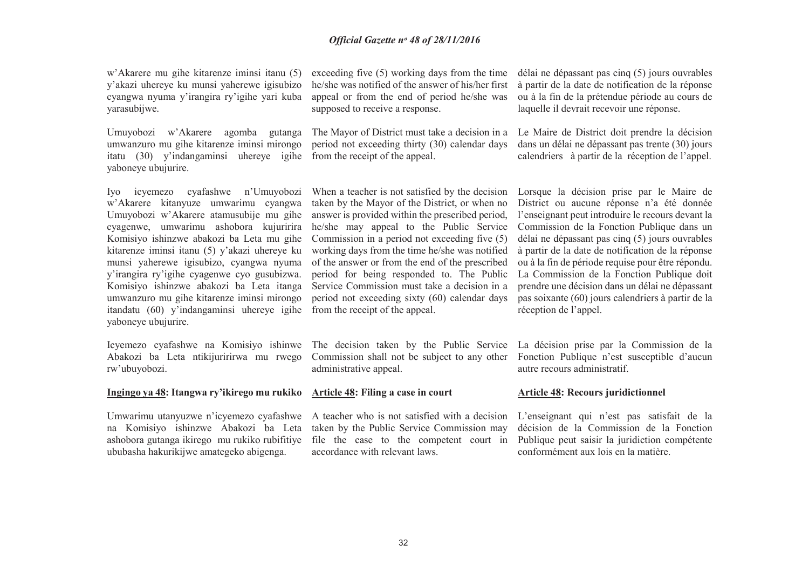w'Akarere mu gihe kitarenze iminsi itanu (5) y'akazi uhereye ku munsi yaherewe igisubizo cyangwa nyuma y'irangira ry'igihe yari kuba yarasubijwe.

Umuyobozi w'Akarere agomba gutanga umwanzuro mu gihe kitarenze iminsi mirongo itatu (30) y'indangaminsi uhereye igihe yaboneye ubujurire.

Iyo icyemezo cyafashwe n'Umuyobozi w'Akarere kitanyuze umwarimu cyangwa Umuyobozi w'Akarere atamusubije mu gihe cyagenwe, umwarimu ashobora kujuririra Komisiyo ishinzwe abakozi ba Leta mu gihe kitarenze iminsi itanu (5) y'akazi uhereye ku munsi yaherewe igisubizo, cyangwa nyuma y'irangira ry'igihe cyagenwe cyo gusubizwa. Komisiyo ishinzwe abakozi ba Leta itanga umwanzuro mu gihe kitarenze iminsi mirongo itandatu (60) y'indangaminsi uhereye igihe from the receipt of the appeal.yaboneye ubujurire.

Icyemezo cyafashwe na Komisiyo ishinwe The decision taken by the Public Service Abakozi ba Leta ntikijuririrwa mu rwego rw'ubuyobozi.

#### **Ingingo ya 48: Itangwa ry'ikirego mu rukiko**

Umwarimu utanyuzwe n'icyemezo cyafashwe A teacher who is not satisfied with a decision na Komisiyo ishinzwe Abakozi ba Leta ashobora gutanga ikirego mu rukiko rubifitiye ububasha hakurikijwe amategeko abigenga.

exceeding five (5) working days from the time he/she was notified of the answer of his/her first appeal or from the end of period he/she was supposed to receive a response.

The Mayor of District must take a decision in a period not exceeding thirty (30) calendar days from the receipt of the appeal.

When a teacher is not satisfied by the decision taken by the Mayor of the District, or when no answer is provided within the prescribed period, he/she may appeal to the Public Service Commission in a period not exceeding five (5) working days from the time he/she was notified of the answer or from the end of the prescribed period for being responded to. The Public Service Commission must take a decision in a period not exceeding sixty (60) calendar days

 Commission shall not be subject to any other administrative appeal.

#### **Article 48: Filing a case in court**

 taken by the Public Service Commission may file the case to the competent court in accordance with relevant laws.

délai ne dépassant pas cinq (5) jours ouvrables à partir de la date de notification de la réponse ou à la fin de la prétendue période au cours de laquelle il devrait recevoir une réponse.

Le Maire de District doit prendre la décision dans un délai ne dépassant pas trente (30) jours calendriers à partir de la réception de l'appel.

Lorsque la décision prise par le Maire de District ou aucune réponse n'a été donnée l'enseignant peut introduire le recours devant la Commission de la Fonction Publique dans un délai ne dépassant pas cinq (5) jours ouvrables à partir de la date de notification de la réponse ou à la fin de période requise pour être répondu. La Commission de la Fonction Publique doit prendre une décision dans un délai ne dépassant pas soixante (60) jours calendriers à partir de la réception de l'appel.

La décision prise par la Commission de la Fonction Publique n'est susceptible d'aucun autre recours administratif.

#### **Article 48: Recours juridictionnel**

L'enseignant qui n'est pas satisfait de la décision de la Commission de la Fonction Publique peut saisir la juridiction compétente conformément aux lois en la matière.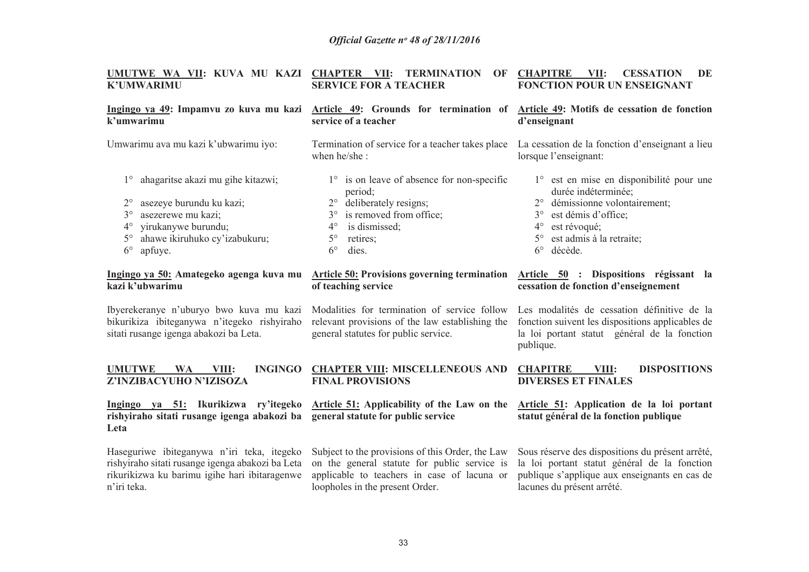| UMUTWE WA VII: KUVA MU KAZI CHAPTER VII: TERMINATION<br><b>K'UMWARIMU</b>                                                                                                                                                                      | OF<br><b>SERVICE FOR A TEACHER</b>                                                                                                                                                                                              | <b>CHAPITRE</b><br>VII:<br><b>CESSATION</b><br>DE<br><b>FONCTION POUR UN ENSEIGNANT</b>                                                                                                                                              |
|------------------------------------------------------------------------------------------------------------------------------------------------------------------------------------------------------------------------------------------------|---------------------------------------------------------------------------------------------------------------------------------------------------------------------------------------------------------------------------------|--------------------------------------------------------------------------------------------------------------------------------------------------------------------------------------------------------------------------------------|
| Ingingo ya 49: Impamvu zo kuva mu kazi<br>k'umwarimu                                                                                                                                                                                           | Article 49: Grounds for termination of<br>service of a teacher                                                                                                                                                                  | Article 49: Motifs de cessation de fonction<br>d'enseignant                                                                                                                                                                          |
| Umwarimu ava mu kazi k'ubwarimu iyo:                                                                                                                                                                                                           | Termination of service for a teacher takes place<br>when he/she:                                                                                                                                                                | La cessation de la fonction d'enseignant a lieu<br>lorsque l'enseignant:                                                                                                                                                             |
| ahagaritse akazi mu gihe kitazwi;<br>$1^{\circ}$<br>$2^{\circ}$<br>asezeye burundu ku kazi;<br>asezerewe mu kazi;<br>$3^\circ$<br>yirukanywe burundu;<br>$4^{\circ}$<br>ahawe ikiruhuko cy'izabukuru;<br>$5^{\circ}$<br>$6^{\circ}$<br>apfuye. | $1^\circ$ is on leave of absence for non-specific<br>period;<br>deliberately resigns;<br>$2^{\circ}$<br>is removed from office;<br>$3^{\circ}$<br>is dismissed;<br>$4^{\circ}$<br>$5^\circ$<br>retires;<br>$6^{\circ}$<br>dies. | 1° est en mise en disponibilité pour une<br>durée indéterminée;<br>démissionne volontairement;<br>est démis d'office;<br>$3^\circ$<br>est révoqué;<br>$4^{\circ}$<br>est admis à la retraite;<br>$5^\circ$<br>$6^{\circ}$<br>décède. |
| Ingingo ya 50: Amategeko agenga kuva mu<br>kazi k'ubwarimu                                                                                                                                                                                     | <b>Article 50: Provisions governing termination</b><br>of teaching service                                                                                                                                                      | Article 50 : Dispositions régissant la<br>cessation de fonction d'enseignement                                                                                                                                                       |
| Ibyerekeranye n'uburyo bwo kuva mu kazi<br>bikurikiza ibiteganywa n'itegeko rishyiraho<br>sitati rusange igenga abakozi ba Leta.                                                                                                               | Modalities for termination of service follow<br>relevant provisions of the law establishing the<br>general statutes for public service.                                                                                         | Les modalités de cessation définitive de la<br>fonction suivent les dispositions applicables de<br>la loi portant statut général de la fonction<br>publique.                                                                         |
| <b>UMUTWE</b><br><b>INGINGO</b><br><b>WA</b><br>VIII:<br>Z'INZIBACYUHO N'IZISOZA                                                                                                                                                               | <b>CHAPTER VIII: MISCELLENEOUS AND</b><br><b>FINAL PROVISIONS</b>                                                                                                                                                               | <b>CHAPITRE</b><br><b>DISPOSITIONS</b><br>VIII:<br><b>DIVERSES ET FINALES</b>                                                                                                                                                        |
| Ingingo ya 51: Ikurikizwa ry'itegeko<br>rishyiraho sitati rusange igenga abakozi ba<br>Leta                                                                                                                                                    | Article 51: Applicability of the Law on the<br>general statute for public service                                                                                                                                               | Article 51: Application de la loi portant<br>statut général de la fonction publique                                                                                                                                                  |
| Haseguriwe ibiteganywa n'iri teka, itegeko<br>rishyiraho sitati rusange igenga abakozi ba Leta<br>rikurikizwa ku barimu igihe hari ibitaragenwe<br>n'iri teka.                                                                                 | Subject to the provisions of this Order, the Law<br>on the general statute for public service is<br>applicable to teachers in case of lacuna or<br>loopholes in the present Order.                                              | Sous réserve des dispositions du présent arrêté,<br>la loi portant statut général de la fonction<br>publique s'applique aux enseignants en cas de<br>lacunes du présent arrêté.                                                      |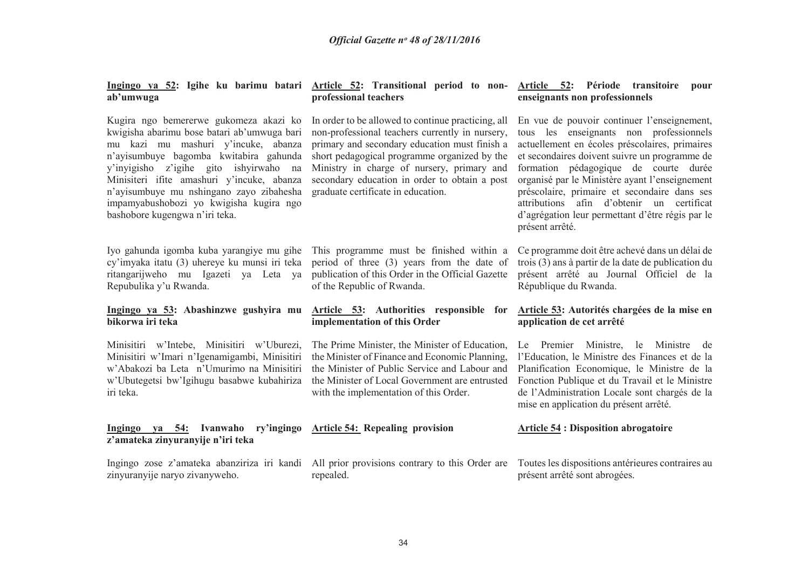**Ingingo ya 52: Igihe ku barimu batari Article 52: Transitional period to nonab'umwuga** 

Kugira ngo bemererwe gukomeza akazi ko kwigisha abarimu bose batari ab'umwuga bari mu kazi mu mashuri y'incuke, abanza n'ayisumbuye bagomba kwitabira gahunda y'inyigisho z'igihe gito ishyirwaho na Minisiteri ifite amashuri y'incuke, abanza n'ayisumbuye mu nshingano zayo zibahesha impamyabushobozi yo kwigisha kugira ngo bashobore kugengwa n'iri teka.

 cy'imyaka itatu (3) uhereye ku munsi iri teka Repubulika y'u Rwanda.

#### **Ingingo ya 53: Abashinzwe gushyira mu bikorwa iri teka**

Minisitiri w'Intebe, Minisitiri w'Uburezi, Minisitiri w'Imari n'Igenamigambi, Minisitiri w'Abakozi ba Leta n'Umurimo na Minisitiri w'Ubutegetsi bw'Igihugu basabwe kubahiriza iri teka.

#### **Ingingo ya 54: Ivanwaho ry'ingingo Article 54: Repealing provision z'amateka zinyuranyije n'iri teka**

zinyuranyije naryo zivanyweho.

# **professional teachers**

In order to be allowed to continue practicing, all non-professional teachers currently in nursery, primary and secondary education must finish a short pedagogical programme organized by the Ministry in charge of nursery, primary and secondary education in order to obtain a post graduate certificate in education.

Iyo gahunda igomba kuba yarangiye mu gihe This programme must be finished within a ritangarijweho mu Igazeti ya Leta ya publication of this Order in the Official Gazette period of three (3) years from the date of of the Republic of Rwanda.

#### **Article 53: Authorities responsible for implementation of this Order**

The Prime Minister, the Minister of Education, the Minister of Finance and Economic Planning, the Minister of Public Service and Labour and the Minister of Local Government are entrusted with the implementation of this Order.

Ingingo zose z'amateka abanziriza iri kandi All prior provisions contrary to this Order are repealed.

#### **Article 52: Période transitoire pour enseignants non professionnels**

En vue de pouvoir continuer l'enseignement, tous les enseignants non professionnels actuellement en écoles préscolaires, primaires et secondaires doivent suivre un programme de formation pédagogique de courte durée organisé par le Ministère ayant l'enseignement préscolaire, primaire et secondaire dans ses attributions afin d'obtenir un certificat d'agrégation leur permettant d'être régis par le présent arrêté.

Ce programme doit être achevé dans un délai de trois (3) ans à partir de la date de publication du présent arrêté au Journal Officiel de la République du Rwanda.

#### **Article 53: Autorités chargées de la mise en application de cet arrêté**

Le Premier Ministre, le Ministre de l'Education, le Ministre des Finances et de la Planification Economique, le Ministre de la Fonction Publique et du Travail et le Ministre de l'Administration Locale sont chargés de la mise en application du présent arrêté.

#### **Article 54 : Disposition abrogatoire**

Toutes les dispositions antérieures contraires au présent arrêté sont abrogées.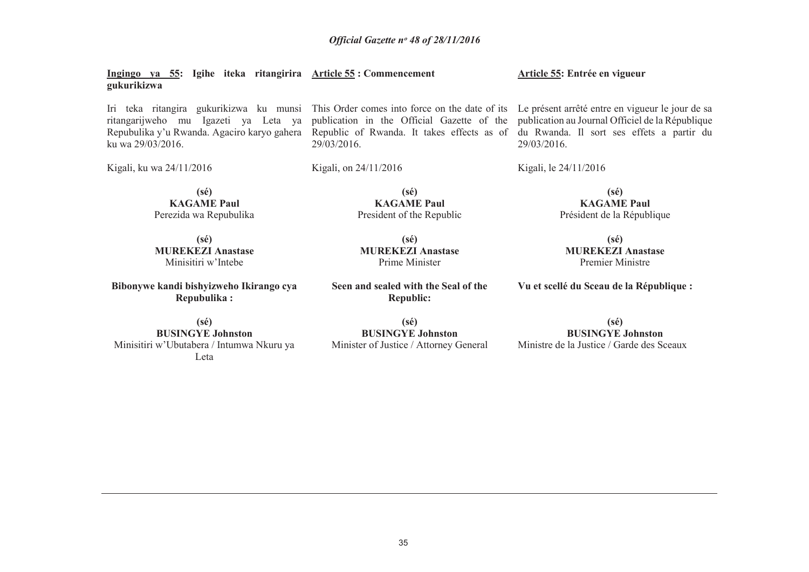| Ingingo ya 55: Igihe iteka ritangirira Article 55: Commencement<br>gukurikizwa |                                                                                                                                                                                                                                                                                                                                                                                                                                | Article 55: Entrée en vigueur        |  |  |  |  |
|--------------------------------------------------------------------------------|--------------------------------------------------------------------------------------------------------------------------------------------------------------------------------------------------------------------------------------------------------------------------------------------------------------------------------------------------------------------------------------------------------------------------------|--------------------------------------|--|--|--|--|
| ku wa 29/03/2016.                                                              | Iri teka ritangira gukurikizwa ku munsi This Order comes into force on the date of its Le présent arrêté entre en vigueur le jour de sa<br>ritangarijweho mu Igazeti ya Leta ya publication in the Official Gazette of the publication au Journal Officiel de la République<br>Repubulika y'u Rwanda. Agaciro karyo gahera Republic of Rwanda. It takes effects as of du Rwanda. Il sort ses effets a partir du<br>29/03/2016. | 29/03/2016.                          |  |  |  |  |
| Kigali, ku wa 24/11/2016                                                       | Kigali, on $24/11/2016$                                                                                                                                                                                                                                                                                                                                                                                                        | Kigali, le 24/11/2016                |  |  |  |  |
| (sé)<br><b>KAGAME Paul</b>                                                     | (sé)<br><b>KAGAME Paul</b>                                                                                                                                                                                                                                                                                                                                                                                                     | $(s\acute{e})$<br><b>KAGAME Paul</b> |  |  |  |  |

 **KAGAME Paul** Perezida wa Repubulika

**(sé) MUREKEZI Anastase** Minisitiri w'Intebe

**Bibonywe kandi bishyizweho Ikirango cya Repubulika :** 

**(sé) BUSINGYE Johnston**  Minisitiri w'Ubutabera / Intumwa Nkuru ya Leta

**(sé) MUREKEZI Anastase** Prime Minister

President of the Republic

**Seen and sealed with the Seal of the Republic:** 

**(sé)**

**(sé) BUSINGYE Johnston** Ministre de la Justice / Garde des Sceaux

**Vu et scellé du Sceau de la République :** 

Président de la République

**(sé) MUREKEZI Anastase** Premier Ministre

 **BUSINGYE Johnston** Minister of Justice / Attorney General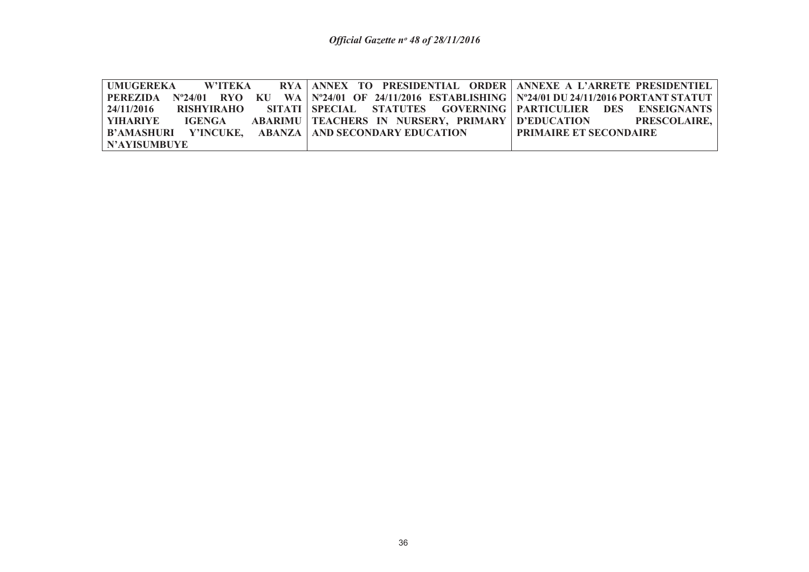|              | UMUGEREKA W'ITEKA RYA ANNEX TO PRESIDENTIAL ORDER ANNEXE A L'ARRETE PRESIDENTIEL                                     |                               |  |  |  |
|--------------|----------------------------------------------------------------------------------------------------------------------|-------------------------------|--|--|--|
|              | PEREZIDA = N°24/01 = RYO = KU = WA   N°24/01 = OF = 24/11/2016 = ESTABLISHING   N°24/01 DU 24/11/2016 PORTANT STATUT |                               |  |  |  |
|              | 24/11/2016 RISHYIRAHO SITATI SPECIAL STATUTES GOVERNING PARTICULIER DES ENSEIGNANTS                                  |                               |  |  |  |
|              | YIHARIYE        IGENGA        ABARIMU   TEACHERS   IN  NURSERY,  PRIMARY   D'EDUCATION               PRESCOLAIRE,    |                               |  |  |  |
|              | B'AMASHURI   Y'INCUKE,   ABANZA   AND SECONDARY EDUCATION                                                            | <b>PRIMAIRE ET SECONDAIRE</b> |  |  |  |
| N'AYISUMBUYE |                                                                                                                      |                               |  |  |  |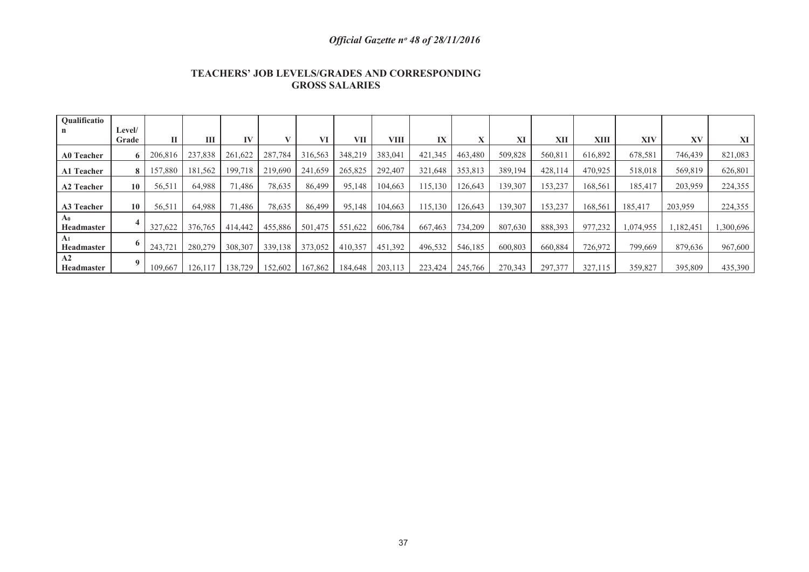| <b>TEACHERS' JOB LEVELS/GRADES AND CORRESPONDING</b> |
|------------------------------------------------------|
| <b>GROSS SALARIES</b>                                |

| <b>Oualificatio</b>                 |                 |         |         |         |         |         |         |         |         |         |         |         |         |           |           |           |
|-------------------------------------|-----------------|---------|---------|---------|---------|---------|---------|---------|---------|---------|---------|---------|---------|-----------|-----------|-----------|
|                                     | Level/<br>Grade | П       | Ш       | IV      |         | VI      | VII     | VIII    | IX      |         | XI      | XII     | XIII    | XIV       | XV        | XI        |
| <b>A0 Teacher</b>                   | 6               | 206,816 | 237,838 | 261,622 | 287,784 | 316,563 | 348,219 | 383,041 | 421,345 | 463,480 | 509,828 | 560,811 | 616,892 | 678,581   | 746,439   | 821,083   |
| A1 Teacher                          | 8               | 157,880 | 181,562 | 199.718 | 219,690 | 241,659 | 265,825 | 292,407 | 321,648 | 353,813 | 389,194 | 428,114 | 470,925 | 518,018   | 569,819   | 626,801   |
| <b>A2 Teacher</b>                   | 10              | 56,511  | 64,988  | 71,486  | 78,635  | 86,499  | 95,148  | 104,663 | 115,130 | 126,643 | 139,307 | 153,237 | 168,561 | 185,417   | 203,959   | 224,355   |
| <b>A3 Teacher</b>                   | 10              | 56,511  | 64,988  | 71,486  | 78,635  | 86,499  | 95,148  | 104,663 | 115,130 | 126,643 | 139,307 | 153,237 | 168,561 | 185,417   | 203,959   | 224,355   |
| A <sub>0</sub><br><b>Headmaster</b> |                 | 327,622 | 376,765 | 414,442 | 455,886 | 501,475 | 551,622 | 606,784 | 667,463 | 734,209 | 807,630 | 888,393 | 977,232 | 1,074,955 | 1,182,451 | 1,300,696 |
| A <sub>1</sub><br><b>Headmaster</b> |                 | 243,721 | 280,279 | 308,307 | 339,138 | 373,052 | 410,357 | 451,392 | 496,532 | 546,185 | 600,803 | 660,884 | 726,972 | 799,669   | 879,636   | 967,600   |
| A2<br><b>Headmaster</b>             |                 | 109.667 | 126,117 | 138,729 | 152,602 | 167,862 | 184,648 | 203,113 | 223,424 | 245,766 | 270,343 | 297,377 | 327,115 | 359,827   | 395,809   | 435,390   |